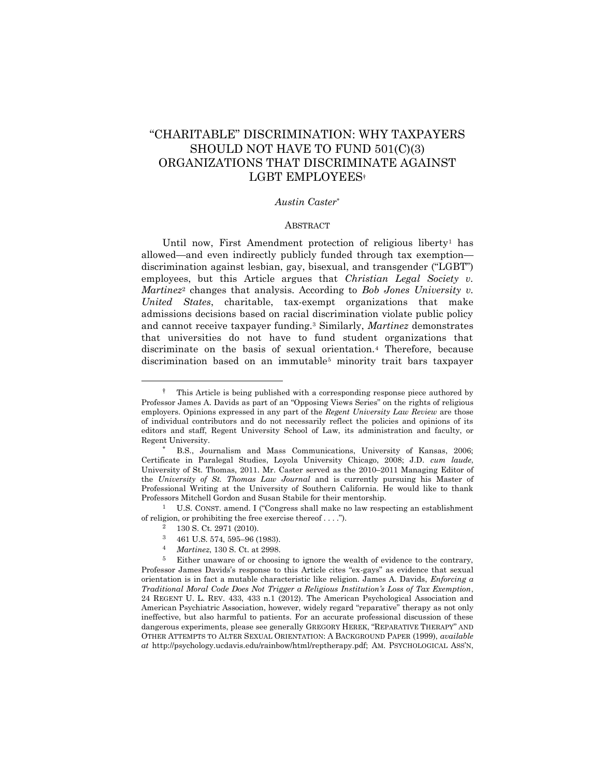# "CHARITABLE" DISCRIMINATION: WHY TAXPAYERS SHOULD NOT HAVE TO FUND 501(C)(3) ORGANIZATIONS THAT DISCRIMINATE AGAINST LGBT EMPLOYEES†

### *Austin Caster*\*

# <span id="page-0-0"></span>ABSTRACT

Until now, First Amendment protection of religious liberty<sup>1</sup> has allowed—and even indirectly publicly funded through tax exemption discrimination against lesbian, gay, bisexual, and transgender ("LGBT") employees, but this Article argues that *Christian Legal Society v. Martinez*<sup>2</sup> changes that analysis. According to *Bob Jones University v. United States*, charitable, tax-exempt organizations that make admissions decisions based on racial discrimination violate public policy and cannot receive taxpayer funding.<sup>3</sup> Similarly, *Martinez* demonstrates that universities do not have to fund student organizations that discriminate on the basis of sexual orientation.<sup>4</sup> Therefore, because discrimination based on an immutable<sup>5</sup> minority trait bars taxpayer

 $\overline{a}$ 

<sup>4</sup> *Martinez*, 130 S. Ct. at 2998.

<sup>†</sup> This Article is being published with a corresponding response piece authored by Professor James A. Davids as part of an "Opposing Views Series" on the rights of religious employers. Opinions expressed in any part of the *Regent University Law Review* are those of individual contributors and do not necessarily reflect the policies and opinions of its editors and staff, Regent University School of Law, its administration and faculty, or Regent University.

<sup>\*</sup> B.S., Journalism and Mass Communications, University of Kansas, 2006; Certificate in Paralegal Studies, Loyola University Chicago, 2008; J.D. *cum laude*, University of St. Thomas, 2011. Mr. Caster served as the 2010–2011 Managing Editor of the *University of St. Thomas Law Journal* and is currently pursuing his Master of Professional Writing at the University of Southern California. He would like to thank Professors Mitchell Gordon and Susan Stabile for their mentorship.

<sup>1</sup> U.S. CONST. amend. I ("Congress shall make no law respecting an establishment of religion, or prohibiting the free exercise thereof . . . .").

<sup>2</sup> 130 S. Ct. 2971 (2010).

<sup>3</sup> 461 U.S. 574, 595–96 (1983).

<sup>&</sup>lt;sup>5</sup> Either unaware of or choosing to ignore the wealth of evidence to the contrary, Professor James Davids's response to this Article cites "ex-gays" as evidence that sexual orientation is in fact a mutable characteristic like religion. James A. Davids, *Enforcing a Traditional Moral Code Does Not Trigger a Religious Institution's Loss of Tax Exemption*, 24 REGENT U. L. REV. 433, 433 n.1 (2012). The American Psychological Association and American Psychiatric Association, however, widely regard "reparative" therapy as not only ineffective, but also harmful to patients. For an accurate professional discussion of these dangerous experiments, please see generally GREGORY HEREK, "REPARATIVE THERAPY" AND OTHER ATTEMPTS TO ALTER SEXUAL ORIENTATION: A BACKGROUND PAPER (1999), *available at* http://psychology.ucdavis.edu/rainbow/html/reptherapy.pdf; AM. PSYCHOLOGICAL ASS'N,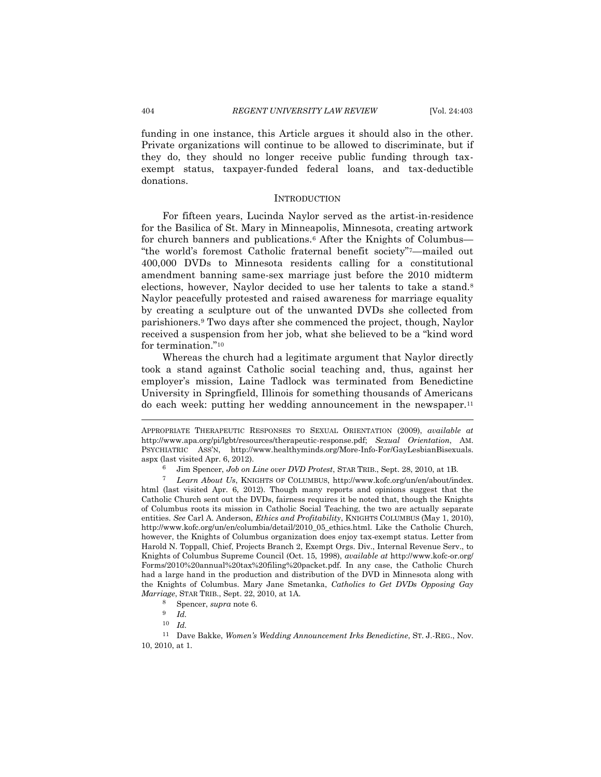funding in one instance, this Article argues it should also in the other. Private organizations will continue to be allowed to discriminate, but if they do, they should no longer receive public funding through taxexempt status, taxpayer-funded federal loans, and tax-deductible donations.

### <span id="page-1-0"></span>**INTRODUCTION**

For fifteen years, Lucinda Naylor served as the artist-in-residence for the Basilica of St. Mary in Minneapolis, Minnesota, creating artwork for church banners and publications.<sup>6</sup> After the Knights of Columbus— "the world's foremost Catholic fraternal benefit society"7—mailed out 400,000 DVDs to Minnesota residents calling for a constitutional amendment banning same-sex marriage just before the 2010 midterm elections, however, Naylor decided to use her talents to take a stand.<sup>8</sup> Naylor peacefully protested and raised awareness for marriage equality by creating a sculpture out of the unwanted DVDs she collected from parishioners.<sup>9</sup> Two days after she commenced the project, though, Naylor received a suspension from her job, what she believed to be a "kind word for termination."<sup>10</sup>

Whereas the church had a legitimate argument that Naylor directly took a stand against Catholic social teaching and, thus, against her employer's mission, Laine Tadlock was terminated from Benedictine University in Springfield, Illinois for something thousands of Americans do each week: putting her wedding announcement in the newspaper.<sup>11</sup>

9 *Id.*

APPROPRIATE THERAPEUTIC RESPONSES TO SEXUAL ORIENTATION (2009), *available at*  http://www.apa.org/pi/lgbt/resources/therapeutic-response.pdf; *Sexual Orientation*, AM. PSYCHIATRIC ASS'N, http://www.healthyminds.org/More-Info-For/GayLesbianBisexuals. aspx (last visited Apr. 6, 2012).

<sup>6</sup> Jim Spencer, *Job on Line over DVD Protest*, STAR TRIB., Sept. 28, 2010, at 1B.

<sup>7</sup> *Learn About Us*, KNIGHTS OF COLUMBUS, http://www.kofc.org/un/en/about/index. html (last visited Apr. 6, 2012). Though many reports and opinions suggest that the Catholic Church sent out the DVDs, fairness requires it be noted that, though the Knights of Columbus roots its mission in Catholic Social Teaching, the two are actually separate entities. *See* Carl A. Anderson, *Ethics and Profitability*, KNIGHTS COLUMBUS (May 1, 2010), http://www.kofc.org/un/en/columbia/detail/2010\_05\_ethics.html. Like the Catholic Church, however, the Knights of Columbus organization does enjoy tax-exempt status. Letter from Harold N. Toppall, Chief, Projects Branch 2, Exempt Orgs. Div., Internal Revenue Serv., to Knights of Columbus Supreme Council (Oct. 15, 1998), *available at* http://www.kofc-or.org/ Forms/2010%20annual%20tax%20filing%20packet.pdf. In any case, the Catholic Church had a large hand in the production and distribution of the DVD in Minnesota along with the Knights of Columbus. Mary Jane Smetanka, *Catholics to Get DVDs Opposing Gay Marriage*, STAR TRIB., Sept. 22, 2010, at 1A.

<sup>8</sup> Spencer, *supra* not[e 6.](#page-1-0)

<sup>10</sup> *Id.*

<sup>11</sup> Dave Bakke, *Women's Wedding Announcement Irks Benedictine*, ST. J.-REG., Nov. 10, 2010, at 1.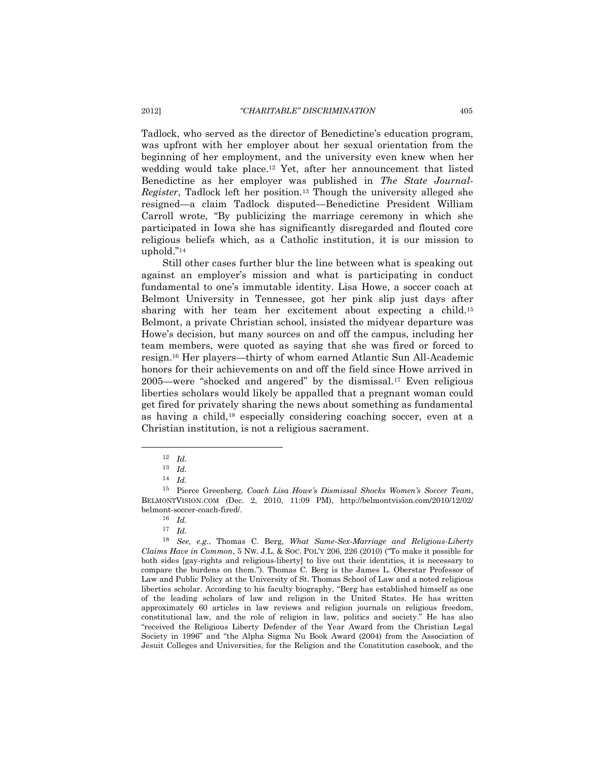Tadlock, who served as the director of Benedictine's education program, was upfront with her employer about her sexual orientation from the beginning of her employment, and the university even knew when her wedding would take place.<sup>12</sup> Yet, after her announcement that listed Benedictine as her employer was published in *The State Journal-Register*, Tadlock left her position.<sup>13</sup> Though the university alleged she resigned—a claim Tadlock disputed—Benedictine President William Carroll wrote, "By publicizing the marriage ceremony in which she participated in Iowa she has significantly disregarded and flouted core religious beliefs which, as a Catholic institution, it is our mission to uphold."<sup>14</sup>

<span id="page-2-1"></span>Still other cases further blur the line between what is speaking out against an employer's mission and what is participating in conduct fundamental to one's immutable identity. Lisa Howe, a soccer coach at Belmont University in Tennessee, got her pink slip just days after sharing with her team her excitement about expecting a child.<sup>15</sup> Belmont, a private Christian school, insisted the midyear departure was Howe's decision, but many sources on and off the campus, including her team members, were quoted as saying that she was fired or forced to resign.<sup>16</sup> Her players—thirty of whom earned Atlantic Sun All-Academic honors for their achievements on and off the field since Howe arrived in 2005—were "shocked and angered" by the dismissal.<sup>17</sup> Even religious liberties scholars would likely be appalled that a pregnant woman could get fired for privately sharing the news about something as fundamental as having a child,<sup>18</sup> especially considering coaching soccer, even at a Christian institution, is not a religious sacrament.

<span id="page-2-0"></span><sup>12</sup> *Id.*

<sup>13</sup> *Id.*

<sup>14</sup> *Id.*

<sup>15</sup> Pierce Greenberg, *Coach Lisa Howe's Dismissal Shocks Women's Soccer Team*, BELMONTVISION.COM (Dec. 2, 2010, 11:09 PM), http://belmontvision.com/2010/12/02/ belmont-soccer-coach-fired/.

<sup>16</sup> *Id.*

<sup>17</sup> *Id.*

<sup>18</sup> *See, e.g.*, Thomas C. Berg, *What Same-Sex-Marriage and Religious-Liberty Claims Have in Common*, 5 NW. J.L. & SOC. POL'Y 206, 226 (2010) ("To make it possible for both sides [gay-rights and religious-liberty] to live out their identities, it is necessary to compare the burdens on them."). Thomas C. Berg is the James L. Oberstar Professor of Law and Public Policy at the University of St. Thomas School of Law and a noted religious liberties scholar. According to his faculty biography, "Berg has established himself as one of the leading scholars of law and religion in the United States. He has written approximately 60 articles in law reviews and religion journals on religious freedom, constitutional law, and the role of religion in law, politics and society." He has also "received the Religious Liberty Defender of the Year Award from the Christian Legal Society in 1996" and "the Alpha Sigma Nu Book Award (2004) from the Association of Jesuit Colleges and Universities, for the Religion and the Constitution casebook, and the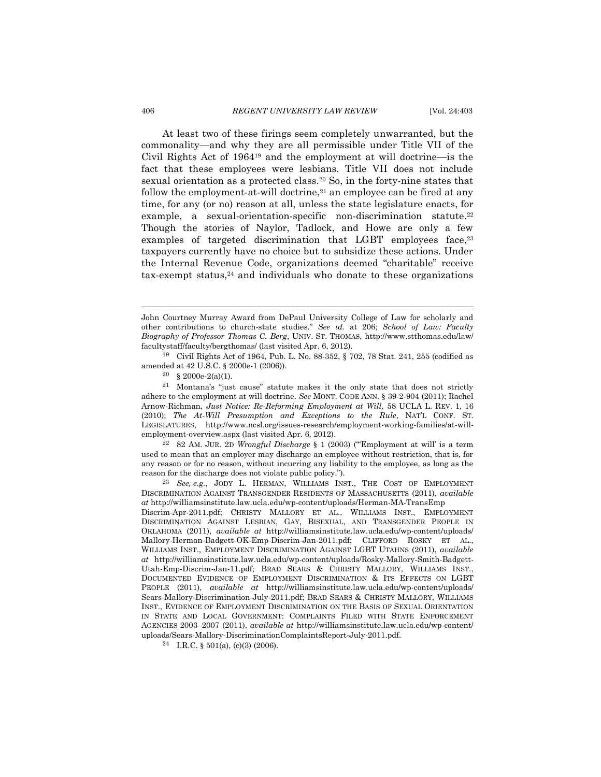<span id="page-3-1"></span><span id="page-3-0"></span>At least two of these firings seem completely unwarranted, but the commonality—and why they are all permissible under Title VII of the Civil Rights Act of 1964<sup>19</sup> and the employment at will doctrine—is the fact that these employees were lesbians. Title VII does not include sexual orientation as a protected class. <sup>20</sup> So, in the forty-nine states that follow the employment-at-will doctrine, $21$  an employee can be fired at any time, for any (or no) reason at all, unless the state legislature enacts, for example, a sexual-orientation-specific non-discrimination statute.<sup>22</sup> Though the stories of Naylor, Tadlock, and Howe are only a few examples of targeted discrimination that LGBT employees face.<sup>23</sup> taxpayers currently have no choice but to subsidize these actions. Under the Internal Revenue Code, organizations deemed "charitable" receive  $tax-exempt status<sup>24</sup>$  and individuals who donate to these organizations

<sup>19</sup> Civil Rights Act of 1964, Pub. L. No. 88-352, § 702, 78 Stat. 241, 255 (codified as amended at 42 U.S.C. § 2000e-1 (2006)).

 $20 \& 2000e-2(a)(1)$ .

<sup>21</sup> Montana's "just cause" statute makes it the only state that does not strictly adhere to the employment at will doctrine. *See* MONT. CODE ANN. § 39-2-904 (2011); Rachel Arnow-Richman, *Just Notice: Re-Reforming Employment at Will*, 58 UCLA L. REV. 1, 16 (2010); *The At-Will Presumption and Exceptions to the Rule*, NAT'L CONF. ST. LEGISLATURES, http://www.ncsl.org/issues-research/employment-working-families/at-willemployment-overview.aspx (last visited Apr. 6, 2012).

<sup>22</sup> 82 AM. JUR. 2D *Wrongful Discharge* § 1 (2003) ("'Employment at will' is a term used to mean that an employer may discharge an employee without restriction, that is, for any reason or for no reason, without incurring any liability to the employee, as long as the reason for the discharge does not violate public policy.").

<sup>23</sup> *See, e.g.*, JODY L. HERMAN, WILLIAMS INST., THE COST OF EMPLOYMENT DISCRIMINATION AGAINST TRANSGENDER RESIDENTS OF MASSACHUSETTS (2011), *available at* http://williamsinstitute.law.ucla.edu/wp-content/uploads/Herman-MA-TransEmp Discrim-Apr-2011.pdf; CHRISTY MALLORY ET AL., WILLIAMS INST., EMPLOYMENT DISCRIMINATION AGAINST LESBIAN, GAY, BISEXUAL, AND TRANSGENDER PEOPLE IN OKLAHOMA (2011), *available at* http://williamsinstitute.law.ucla.edu/wp-content/uploads/ Mallory-Herman-Badgett-OK-Emp-Discrim-Jan-2011.pdf; CLIFFORD ROSKY ET AL., WILLIAMS INST., EMPLOYMENT DISCRIMINATION AGAINST LGBT UTAHNS (2011), *available at* http://williamsinstitute.law.ucla.edu/wp-content/uploads/Rosky-Mallory-Smith-Badgett-Utah-Emp-Discrim-Jan-11.pdf; BRAD SEARS & CHRISTY MALLORY, WILLIAMS INST., DOCUMENTED EVIDENCE OF EMPLOYMENT DISCRIMINATION & ITS EFFECTS ON LGBT PEOPLE (2011), *available at* http://williamsinstitute.law.ucla.edu/wp-content/uploads/ Sears-Mallory-Discrimination-July-2011.pdf; BRAD SEARS & CHRISTY MALLORY, WILLIAMS INST., EVIDENCE OF EMPLOYMENT DISCRIMINATION ON THE BASIS OF SEXUAL ORIENTATION IN STATE AND LOCAL GOVERNMENT: COMPLAINTS FILED WITH STATE ENFORCEMENT AGENCIES 2003–2007 (2011), *available at* http://williamsinstitute.law.ucla.edu/wp-content/ uploads/Sears-Mallory-DiscriminationComplaintsReport-July-2011.pdf.

<sup>24</sup> I.R.C. § 501(a), (c)(3) (2006).

John Courtney Murray Award from DePaul University College of Law for scholarly and other contributions to church-state studies." *See id.* at 206; *School of Law: Faculty Biography of Professor Thomas C. Berg*, UNIV. ST. THOMAS, http://www.stthomas.edu/law/ facultystaff/faculty/bergthomas/ (last visited Apr. 6, 2012).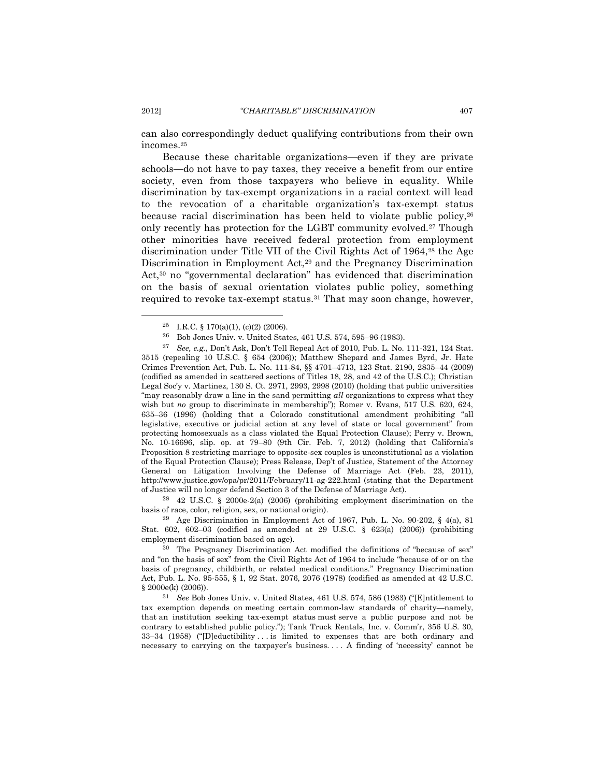can also correspondingly deduct qualifying contributions from their own incomes. 25

Because these charitable organizations—even if they are private schools—do not have to pay taxes, they receive a benefit from our entire society, even from those taxpayers who believe in equality. While discrimination by tax-exempt organizations in a racial context will lead to the revocation of a charitable organization's tax-exempt status because racial discrimination has been held to violate public policy,<sup>26</sup> only recently has protection for the LGBT community evolved.<sup>27</sup> Though other minorities have received federal protection from employment discrimination under Title VII of the Civil Rights Act of 1964,<sup>28</sup> the Age Discrimination in Employment Act,<sup>29</sup> and the Pregnancy Discrimination Act,<sup>30</sup> no "governmental declaration" has evidenced that discrimination on the basis of sexual orientation violates public policy, something required to revoke tax-exempt status.<sup>31</sup> That may soon change, however,

<sup>28</sup> 42 U.S.C. § 2000e-2(a) (2006) (prohibiting employment discrimination on the basis of race, color, religion, sex, or national origin).

<sup>29</sup> Age Discrimination in Employment Act of 1967, Pub. L. No.  $90-202$ , §  $4(a)$ , 81 Stat. 602, 602–03 (codified as amended at 29 U.S.C. § 623(a) (2006)) (prohibiting employment discrimination based on age).

<sup>30</sup> The Pregnancy Discrimination Act modified the definitions of "because of sex" and "on the basis of sex" from the Civil Rights Act of 1964 to include "because of or on the basis of pregnancy, childbirth, or related medical conditions." Pregnancy Discrimination Act, Pub. L. No. 95-555, § 1, 92 Stat. 2076, 2076 (1978) (codified as amended at 42 U.S.C. § 2000e(k) (2006)).

<sup>31</sup> *See* Bob Jones Univ. v. United States, 461 U.S. 574, 586 (1983) ("[E]ntitlement to tax exemption depends on meeting certain common-law standards of charity—namely, that an institution seeking tax-exempt status must serve a public purpose and not be contrary to established public policy."); Tank Truck Rentals, Inc. v. Comm'r, 356 U.S. 30, 33–34 (1958) ("[D]eductibility . . . is limited to expenses that are both ordinary and necessary to carrying on the taxpayer's business. . . . A finding of 'necessity' cannot be

<span id="page-4-0"></span><sup>&</sup>lt;sup>25</sup> I.R.C. § 170(a)(1), (c)(2) (2006).

<sup>26</sup> Bob Jones Univ. v. United States, 461 U.S. 574, 595–96 (1983).

<sup>27</sup> *See, e.g.*, Don't Ask, Don't Tell Repeal Act of 2010, Pub. L. No. 111-321, 124 Stat. 3515 (repealing 10 U.S.C. § 654 (2006)); Matthew Shepard and James Byrd, Jr. Hate Crimes Prevention Act, Pub. L. No. 111-84, §§ 4701–4713, 123 Stat. 2190, 2835–44 (2009) (codified as amended in scattered sections of Titles 18, 28, and 42 of the U.S.C.); Christian Legal Soc'y v. Martinez, 130 S. Ct. 2971, 2993, 2998 (2010) (holding that public universities "may reasonably draw a line in the sand permitting *all* organizations to express what they wish but *no* group to discriminate in membership"); Romer v. Evans, 517 U.S. 620, 624, 635–36 (1996) (holding that a Colorado constitutional amendment prohibiting "all legislative, executive or judicial action at any level of state or local government" from protecting homosexuals as a class violated the Equal Protection Clause); Perry v. Brown, No. 10-16696, slip. op. at 79–80 (9th Cir. Feb. 7, 2012) (holding that California's Proposition 8 restricting marriage to opposite-sex couples is unconstitutional as a violation of the Equal Protection Clause); Press Release, Dep't of Justice, Statement of the Attorney General on Litigation Involving the Defense of Marriage Act (Feb. 23, 2011), http://www.justice.gov/opa/pr/2011/February/11-ag-222.html (stating that the Department of Justice will no longer defend Section 3 of the Defense of Marriage Act).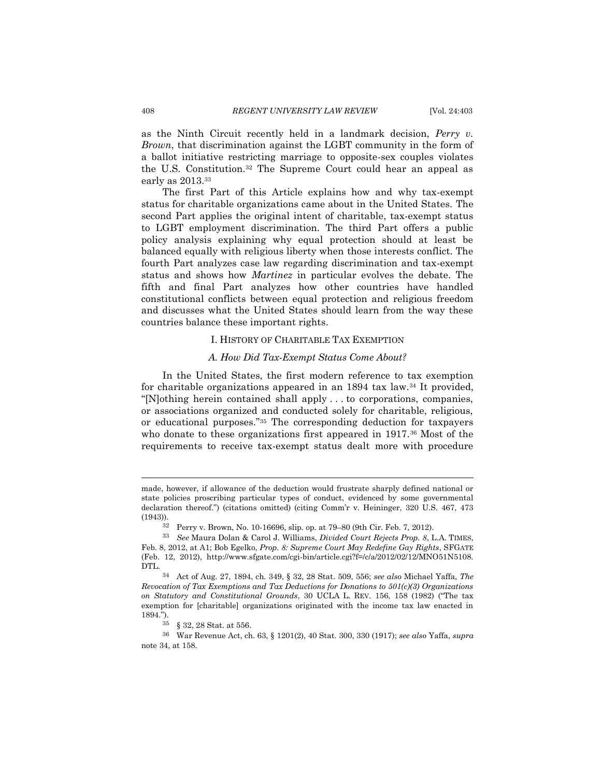as the Ninth Circuit recently held in a landmark decision, *Perry v. Brown*, that discrimination against the LGBT community in the form of a ballot initiative restricting marriage to opposite-sex couples violates the U.S. Constitution.<sup>32</sup> The Supreme Court could hear an appeal as early as 2013.<sup>33</sup>

The first Part of this Article explains how and why tax-exempt status for charitable organizations came about in the United States. The second Part applies the original intent of charitable, tax-exempt status to LGBT employment discrimination. The third Part offers a public policy analysis explaining why equal protection should at least be balanced equally with religious liberty when those interests conflict. The fourth Part analyzes case law regarding discrimination and tax-exempt status and shows how *Martinez* in particular evolves the debate. The fifth and final Part analyzes how other countries have handled constitutional conflicts between equal protection and religious freedom and discusses what the United States should learn from the way these countries balance these important rights.

# I. HISTORY OF CHARITABLE TAX EXEMPTION

# <span id="page-5-0"></span>*A. How Did Tax-Exempt Status Come About?*

In the United States, the first modern reference to tax exemption for charitable organizations appeared in an 1894 tax law.<sup>34</sup> It provided, "[N]othing herein contained shall apply . . . to corporations, companies, or associations organized and conducted solely for charitable, religious, or educational purposes."<sup>35</sup> The corresponding deduction for taxpayers who donate to these organizations first appeared in 1917.<sup>36</sup> Most of the requirements to receive tax-exempt status dealt more with procedure

made, however, if allowance of the deduction would frustrate sharply defined national or state policies proscribing particular types of conduct, evidenced by some governmental declaration thereof.") (citations omitted) (citing Comm'r v. Heininger, 320 U.S. 467, 473 (1943)).

<sup>32</sup> Perry v. Brown, No. 10-16696, slip. op. at 79–80 (9th Cir. Feb. 7, 2012).

<sup>33</sup> *See* Maura Dolan & Carol J. Williams, *Divided Court Rejects Prop. 8*, L.A. TIMES, Feb. 8, 2012, at A1; Bob Egelko, *Prop. 8: Supreme Court May Redefine Gay Rights*, SFGATE (Feb. 12, 2012), http://www.sfgate.com/cgi-bin/article.cgi?f=/c/a/2012/02/12/MNO51N5108. DTL.

<sup>34</sup> Act of Aug. 27, 1894, ch. 349, § 32, 28 Stat. 509, 556; *see also* Michael Yaffa, *The Revocation of Tax Exemptions and Tax Deductions for Donations to 501(c)(3) Organizations on Statutory and Constitutional Grounds*, 30 UCLA L. REV. 156, 158 (1982) ("The tax exemption for [charitable] organizations originated with the income tax law enacted in 1894.").

<sup>35</sup> § 32, 28 Stat. at 556.

<sup>36</sup> War Revenue Act, ch. 63, § 1201(2), 40 Stat. 300, 330 (1917); *see also* Yaffa, *supra* not[e 34,](#page-5-0) at 158.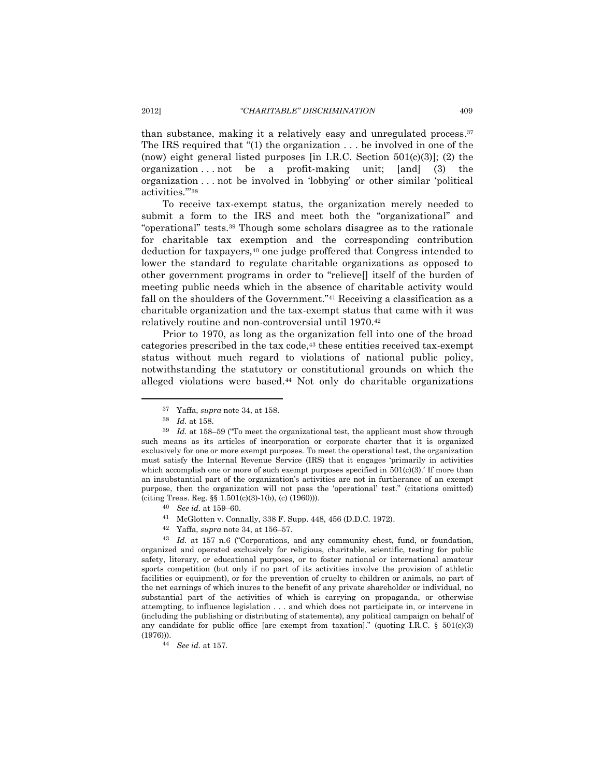than substance, making it a relatively easy and unregulated process. 37 The IRS required that "(1) the organization . . . be involved in one of the (now) eight general listed purposes [in I.R.C. Section  $501(c)(3)$ ]; (2) the organization  $\dots$  not be a profit-making unit; [and] (3) the organization . . . not be involved in 'lobbying' or other similar 'political activities.'"<sup>38</sup>

To receive tax-exempt status, the organization merely needed to submit a form to the IRS and meet both the "organizational" and "operational" tests. <sup>39</sup> Though some scholars disagree as to the rationale for charitable tax exemption and the corresponding contribution deduction for taxpayers, <sup>40</sup> one judge proffered that Congress intended to lower the standard to regulate charitable organizations as opposed to other government programs in order to "relieve[] itself of the burden of meeting public needs which in the absence of charitable activity would fall on the shoulders of the Government."<sup>41</sup> Receiving a classification as a charitable organization and the tax-exempt status that came with it was relatively routine and non-controversial until 1970.<sup>42</sup>

Prior to 1970, as long as the organization fell into one of the broad categories prescribed in the tax code,<sup>43</sup> these entities received tax-exempt status without much regard to violations of national public policy, notwithstanding the statutory or constitutional grounds on which the alleged violations were based. <sup>44</sup> Not only do charitable organizations

 $\overline{a}$ 

- <sup>40</sup> *See id.* at 159–60.
- <sup>41</sup> McGlotten v. Connally, 338 F. Supp. 448, 456 (D.D.C. 1972).
- <sup>42</sup> Yaffa, *supra* note [34,](#page-5-0) at 156–57.

<sup>43</sup> *Id.* at 157 n.6 ("Corporations, and any community chest, fund, or foundation, organized and operated exclusively for religious, charitable, scientific, testing for public safety, literary, or educational purposes, or to foster national or international amateur sports competition (but only if no part of its activities involve the provision of athletic facilities or equipment), or for the prevention of cruelty to children or animals, no part of the net earnings of which inures to the benefit of any private shareholder or individual, no substantial part of the activities of which is carrying on propaganda, or otherwise attempting, to influence legislation . . . and which does not participate in, or intervene in (including the publishing or distributing of statements), any political campaign on behalf of any candidate for public office [are exempt from taxation]." (quoting I.R.C.  $\S$  501(c)(3) (1976))).

<sup>37</sup> Yaffa, *supra* note [34,](#page-5-0) at 158.

<sup>38</sup> *Id.* at 158.

<sup>39</sup> *Id.* at 158–59 ("To meet the organizational test, the applicant must show through such means as its articles of incorporation or corporate charter that it is organized exclusively for one or more exempt purposes. To meet the operational test, the organization must satisfy the Internal Revenue Service (IRS) that it engages 'primarily in activities which accomplish one or more of such exempt purposes specified in  $501(c)(3)$ .' If more than an insubstantial part of the organization's activities are not in furtherance of an exempt purpose, then the organization will not pass the 'operational' test." (citations omitted) (citing Treas. Reg. §§ 1.501(c)(3)-1(b), (c) (1960))).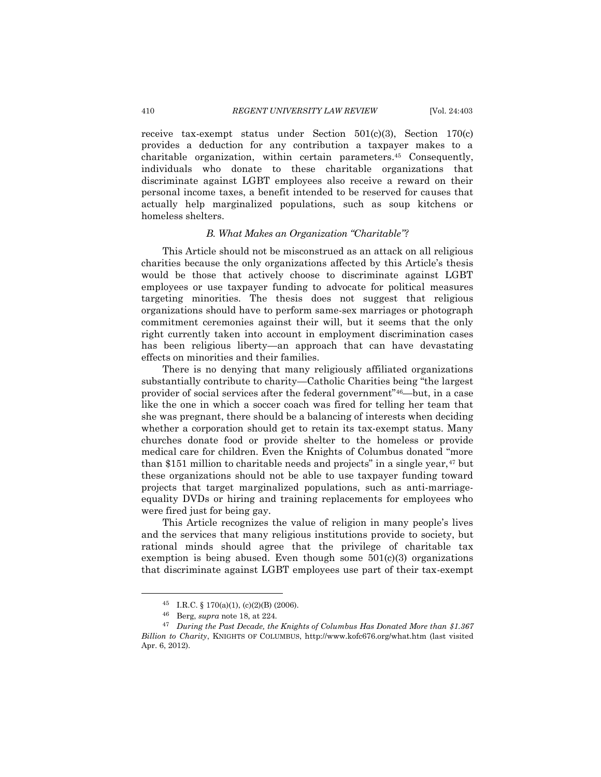receive tax-exempt status under Section 501(c)(3), Section 170(c) provides a deduction for any contribution a taxpayer makes to a charitable organization, within certain parameters. <sup>45</sup> Consequently, individuals who donate to these charitable organizations that discriminate against LGBT employees also receive a reward on their personal income taxes, a benefit intended to be reserved for causes that actually help marginalized populations, such as soup kitchens or homeless shelters.

# *B. What Makes an Organization "Charitable"?*

This Article should not be misconstrued as an attack on all religious charities because the only organizations affected by this Article's thesis would be those that actively choose to discriminate against LGBT employees or use taxpayer funding to advocate for political measures targeting minorities. The thesis does not suggest that religious organizations should have to perform same-sex marriages or photograph commitment ceremonies against their will, but it seems that the only right currently taken into account in employment discrimination cases has been religious liberty—an approach that can have devastating effects on minorities and their families.

There is no denying that many religiously affiliated organizations substantially contribute to charity—Catholic Charities being "the largest provider of social services after the federal government"46—but, in a case like the one in which a soccer coach was fired for telling her team that she was pregnant, there should be a balancing of interests when deciding whether a corporation should get to retain its tax-exempt status. Many churches donate food or provide shelter to the homeless or provide medical care for children. Even the Knights of Columbus donated "more than \$151 million to charitable needs and projects" in a single year,<sup>47</sup> but these organizations should not be able to use taxpayer funding toward projects that target marginalized populations, such as anti-marriageequality DVDs or hiring and training replacements for employees who were fired just for being gay.

This Article recognizes the value of religion in many people's lives and the services that many religious institutions provide to society, but rational minds should agree that the privilege of charitable tax exemption is being abused. Even though some  $501(c)(3)$  organizations that discriminate against LGBT employees use part of their tax-exempt

<sup>45</sup> I.R.C. § 170(a)(1), (c)(2)(B) (2006).

<sup>46</sup> Berg, *supra* not[e 18,](#page-2-0) at 224.

<sup>47</sup> *During the Past Decade, the Knights of Columbus Has Donated More than \$1.367 Billion to Charity*, KNIGHTS OF COLUMBUS, http://www.kofc676.org/what.htm (last visited Apr. 6, 2012).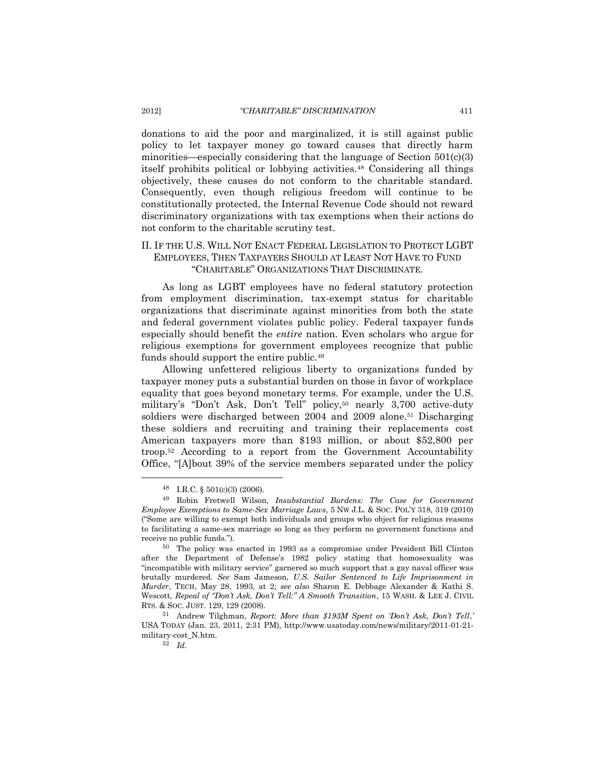donations to aid the poor and marginalized, it is still against public policy to let taxpayer money go toward causes that directly harm minorities—especially considering that the language of Section  $501(c)(3)$ itself prohibits political or lobbying activities.<sup>48</sup> Considering all things objectively, these causes do not conform to the charitable standard. Consequently, even though religious freedom will continue to be constitutionally protected, the Internal Revenue Code should not reward discriminatory organizations with tax exemptions when their actions do not conform to the charitable scrutiny test.

# II. IF THE U.S. WILL NOT ENACT FEDERAL LEGISLATION TO PROTECT LGBT EMPLOYEES, THEN TAXPAYERS SHOULD AT LEAST NOT HAVE TO FUND "CHARITABLE" ORGANIZATIONS THAT DISCRIMINATE.

As long as LGBT employees have no federal statutory protection from employment discrimination, tax-exempt status for charitable organizations that discriminate against minorities from both the state and federal government violates public policy. Federal taxpayer funds especially should benefit the *entire* nation. Even scholars who argue for religious exemptions for government employees recognize that public funds should support the entire public.<sup>49</sup>

<span id="page-8-1"></span>Allowing unfettered religious liberty to organizations funded by taxpayer money puts a substantial burden on those in favor of workplace equality that goes beyond monetary terms. For example, under the U.S. military's "Don't Ask, Don't Tell" policy,<sup>50</sup> nearly 3,700 active-duty soldiers were discharged between 2004 and 2009 alone.<sup>51</sup> Discharging these soldiers and recruiting and training their replacements cost American taxpayers more than \$193 million, or about \$52,800 per troop.<sup>52</sup> According to a report from the Government Accountability Office, "[A]bout 39% of the service members separated under the policy

<span id="page-8-0"></span> $48$  I.R.C. §  $501(c)(3)$  (2006).

<sup>49</sup> Robin Fretwell Wilson, *Insubstantial Burdens: The Case for Government Employee Exemptions to Same-Sex Marriage Laws*, 5 NW J.L. & SOC. POL'Y 318, 319 (2010) ("Some are willing to exempt both individuals and groups who object for religious reasons to facilitating a same-sex marriage so long as they perform no government functions and receive no public funds.").

<sup>50</sup> The policy was enacted in 1993 as a compromise under President Bill Clinton after the Department of Defense's 1982 policy stating that homosexuality was "incompatible with military service" garnered so much support that a gay naval officer was brutally murdered. *See* Sam Jameson, *U.S. Sailor Sentenced to Life Imprisonment in Murder*, TECH, May 28, 1993, at 2; *see also* Sharon E. Debbage Alexander & Kathi S. Wescott, *Repeal of "Don't Ask, Don't Tell:" A Smooth Transition*, 15 WASH. & LEE J. CIVIL RTS. & SOC. JUST. 129, 129 (2008).

<sup>51</sup> Andrew Tilghman, *Report: More than \$193M Spent on 'Don't Ask, Don't Tell*,*'*  USA TODAY (Jan. 23, 2011, 2:31 PM), http://www.usatoday.com/news/military/2011-01-21 military-cost\_N.htm.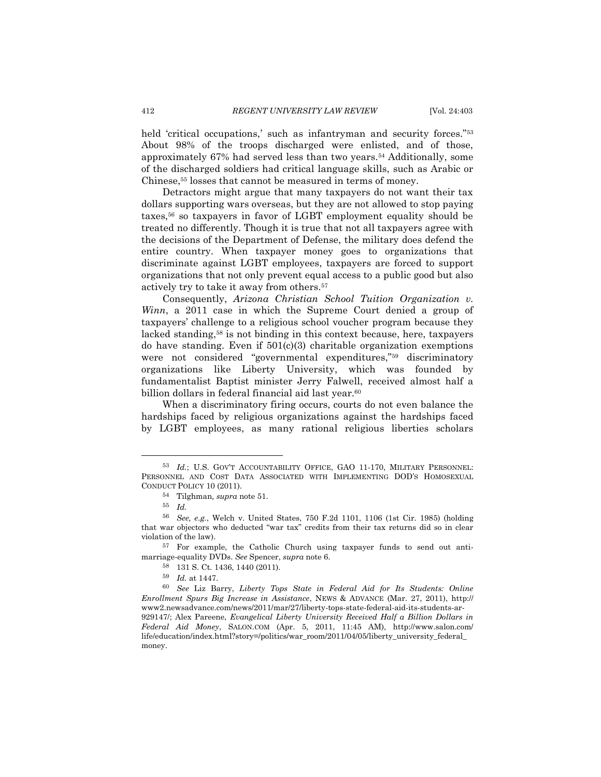held 'critical occupations,' such as infantryman and security forces."<sup>53</sup> About 98% of the troops discharged were enlisted, and of those, approximately 67% had served less than two years.<sup>54</sup> Additionally, some of the discharged soldiers had critical language skills, such as Arabic or Chinese,<sup>55</sup> losses that cannot be measured in terms of money.

Detractors might argue that many taxpayers do not want their tax dollars supporting wars overseas, but they are not allowed to stop paying taxes,<sup>56</sup> so taxpayers in favor of LGBT employment equality should be treated no differently. Though it is true that not all taxpayers agree with the decisions of the Department of Defense, the military does defend the entire country. When taxpayer money goes to organizations that discriminate against LGBT employees, taxpayers are forced to support organizations that not only prevent equal access to a public good but also actively try to take it away from others.<sup>57</sup>

Consequently, *Arizona Christian School Tuition Organization v. Winn*, a 2011 case in which the Supreme Court denied a group of taxpayers' challenge to a religious school voucher program because they lacked standing,<sup>58</sup> is not binding in this context because, here, taxpayers do have standing. Even if  $501(c)(3)$  charitable organization exemptions were not considered "governmental expenditures,"<sup>59</sup> discriminatory organizations like Liberty University, which was founded by fundamentalist Baptist minister Jerry Falwell, received almost half a billion dollars in federal financial aid last year.<sup>60</sup>

When a discriminatory firing occurs, courts do not even balance the hardships faced by religious organizations against the hardships faced by LGBT employees, as many rational religious liberties scholars

<sup>53</sup> *Id.*; U.S. GOV'T ACCOUNTABILITY OFFICE, GAO 11-170, MILITARY PERSONNEL: PERSONNEL AND COST DATA ASSOCIATED WITH IMPLEMENTING DOD'S HOMOSEXUAL CONDUCT POLICY 10 (2011).

<sup>54</sup> Tilghman*, supra* note [51.](#page-8-0)

<sup>55</sup> *Id.*

<sup>56</sup> *See, e.g.*, Welch v. United States, 750 F.2d 1101, 1106 (1st Cir. 1985) (holding that war objectors who deducted "war tax" credits from their tax returns did so in clear violation of the law).

<sup>57</sup> For example, the Catholic Church using taxpayer funds to send out antimarriage-equality DVDs. *See* Spencer, *supra* note [6.](#page-1-0)

<sup>58</sup> 131 S. Ct. 1436, 1440 (2011).

<sup>59</sup> *Id.* at 1447.

<sup>60</sup> *See* Liz Barry, *Liberty Tops State in Federal Aid for Its Students: Online Enrollment Spurs Big Increase in Assistance*, NEWS & ADVANCE (Mar. 27, 2011), http:// www2.newsadvance.com/news/2011/mar/27/liberty-tops-state-federal-aid-its-students-ar-929147/; Alex Pareene, *Evangelical Liberty University Received Half a Billion Dollars in Federal Aid Money*, SALON.COM (Apr. 5, 2011, 11:45 AM), http://www.salon.com/ life/education/index.html?story=/politics/war\_room/2011/04/05/liberty\_university\_federal\_ money.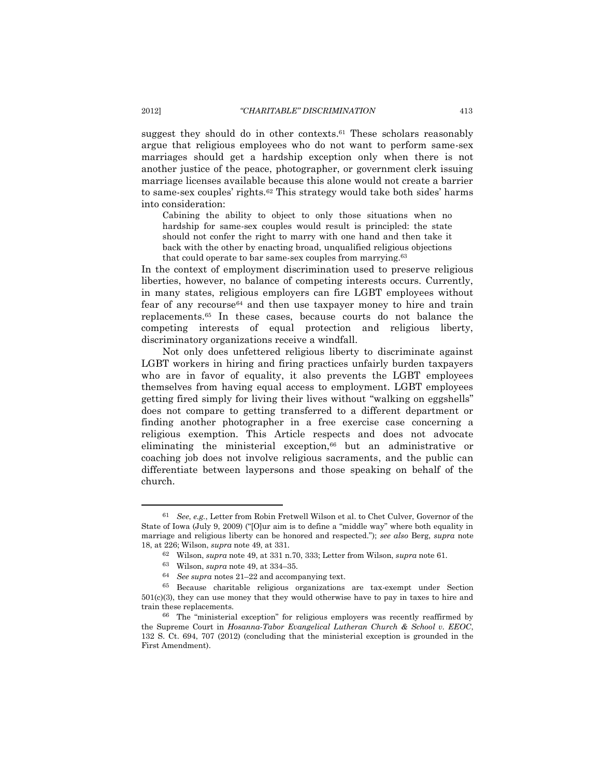suggest they should do in other contexts. <sup>61</sup> These scholars reasonably argue that religious employees who do not want to perform same-sex marriages should get a hardship exception only when there is not another justice of the peace, photographer, or government clerk issuing marriage licenses available because this alone would not create a barrier to same-sex couples' rights.<sup>62</sup> This strategy would take both sides' harms into consideration:

<span id="page-10-0"></span>Cabining the ability to object to only those situations when no hardship for same-sex couples would result is principled: the state should not confer the right to marry with one hand and then take it back with the other by enacting broad, unqualified religious objections that could operate to bar same-sex couples from marrying.<sup>63</sup>

In the context of employment discrimination used to preserve religious liberties, however, no balance of competing interests occurs. Currently, in many states, religious employers can fire LGBT employees without fear of any recourse<sup>64</sup> and then use taxpayer money to hire and train replacements. <sup>65</sup> In these cases, because courts do not balance the competing interests of equal protection and religious liberty, discriminatory organizations receive a windfall.

Not only does unfettered religious liberty to discriminate against LGBT workers in hiring and firing practices unfairly burden taxpayers who are in favor of equality, it also prevents the LGBT employees themselves from having equal access to employment. LGBT employees getting fired simply for living their lives without "walking on eggshells" does not compare to getting transferred to a different department or finding another photographer in a free exercise case concerning a religious exemption. This Article respects and does not advocate eliminating the ministerial exception,<sup>66</sup> but an administrative or coaching job does not involve religious sacraments, and the public can differentiate between laypersons and those speaking on behalf of the church.

<sup>61</sup> *See*, *e.g.*, Letter from Robin Fretwell Wilson et al. to Chet Culver, Governor of the State of Iowa (July 9, 2009) ("[O]ur aim is to define a "middle way" where both equality in marriage and religious liberty can be honored and respected."); *see also* Berg, *supra* note [18,](#page-2-0) at 226; Wilson, *supra* not[e 49,](#page-8-1) at 331.

<sup>62</sup> Wilson, *supra* not[e 49,](#page-8-1) at 331 n.70, 333; Letter from Wilson, *supra* note [61.](#page-10-0)

<sup>63</sup> Wilson, *supra* not[e 49,](#page-8-1) at 334–35.

<sup>64</sup> *See supra* notes [21](#page-3-0)–[22](#page-3-1) and accompanying text.

<sup>65</sup> Because charitable religious organizations are tax-exempt under Section  $501(c)(3)$ , they can use money that they would otherwise have to pay in taxes to hire and train these replacements.

<sup>66</sup> The "ministerial exception" for religious employers was recently reaffirmed by the Supreme Court in *Hosanna-Tabor Evangelical Lutheran Church & School v. EEOC*, 132 S. Ct. 694, 707 (2012) (concluding that the ministerial exception is grounded in the First Amendment).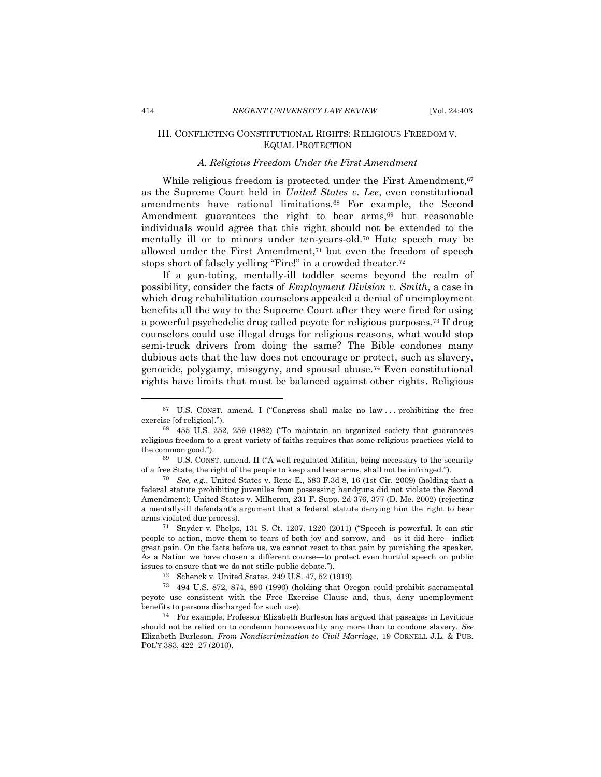# III. CONFLICTING CONSTITUTIONAL RIGHTS: RELIGIOUS FREEDOM V. EQUAL PROTECTION

### *A. Religious Freedom Under the First Amendment*

While religious freedom is protected under the First Amendment,<sup>67</sup> as the Supreme Court held in *United States v. Lee*, even constitutional amendments have rational limitations.<sup>68</sup> For example, the Second Amendment guarantees the right to bear arms,<sup>69</sup> but reasonable individuals would agree that this right should not be extended to the mentally ill or to minors under ten-years-old.<sup>70</sup> Hate speech may be allowed under the First Amendment, <sup>71</sup> but even the freedom of speech stops short of falsely yelling "Fire!" in a crowded theater.<sup>72</sup>

If a gun-toting, mentally-ill toddler seems beyond the realm of possibility, consider the facts of *Employment Division v. Smith*, a case in which drug rehabilitation counselors appealed a denial of unemployment benefits all the way to the Supreme Court after they were fired for using a powerful psychedelic drug called peyote for religious purposes.<sup>73</sup> If drug counselors could use illegal drugs for religious reasons, what would stop semi-truck drivers from doing the same? The Bible condones many dubious acts that the law does not encourage or protect, such as slavery, genocide, polygamy, misogyny, and spousal abuse.<sup>74</sup> Even constitutional rights have limits that must be balanced against other rights. Religious

<span id="page-11-0"></span><sup>67</sup> U.S. CONST. amend. I ("Congress shall make no law . . . prohibiting the free exercise [of religion].").

<sup>68</sup> 455 U.S. 252, 259 (1982) ("To maintain an organized society that guarantees religious freedom to a great variety of faiths requires that some religious practices yield to the common good.").

<sup>69</sup> U.S. CONST. amend. II ("A well regulated Militia, being necessary to the security of a free State, the right of the people to keep and bear arms, shall not be infringed.").

<sup>70</sup> *See, e.g.*, United States v. Rene E., 583 F.3d 8, 16 (1st Cir. 2009) (holding that a federal statute prohibiting juveniles from possessing handguns did not violate the Second Amendment); United States v. Milheron, 231 F. Supp. 2d 376, 377 (D. Me. 2002) (rejecting a mentally-ill defendant's argument that a federal statute denying him the right to bear arms violated due process).

<sup>71</sup> Snyder v. Phelps, 131 S. Ct. 1207, 1220 (2011) ("Speech is powerful. It can stir people to action, move them to tears of both joy and sorrow, and—as it did here—inflict great pain. On the facts before us, we cannot react to that pain by punishing the speaker. As a Nation we have chosen a different course—to protect even hurtful speech on public issues to ensure that we do not stifle public debate.").

<sup>72</sup> Schenck v. United States, 249 U.S. 47, 52 (1919).

<sup>73</sup> 494 U.S. 872, 874, 890 (1990) (holding that Oregon could prohibit sacramental peyote use consistent with the Free Exercise Clause and, thus, deny unemployment benefits to persons discharged for such use).

<sup>74</sup> For example, Professor Elizabeth Burleson has argued that passages in Leviticus should not be relied on to condemn homosexuality any more than to condone slavery. *See* Elizabeth Burleson, *From Nondiscrimination to Civil Marriage*, 19 CORNELL J.L. & PUB. POL'Y 383, 422–27 (2010).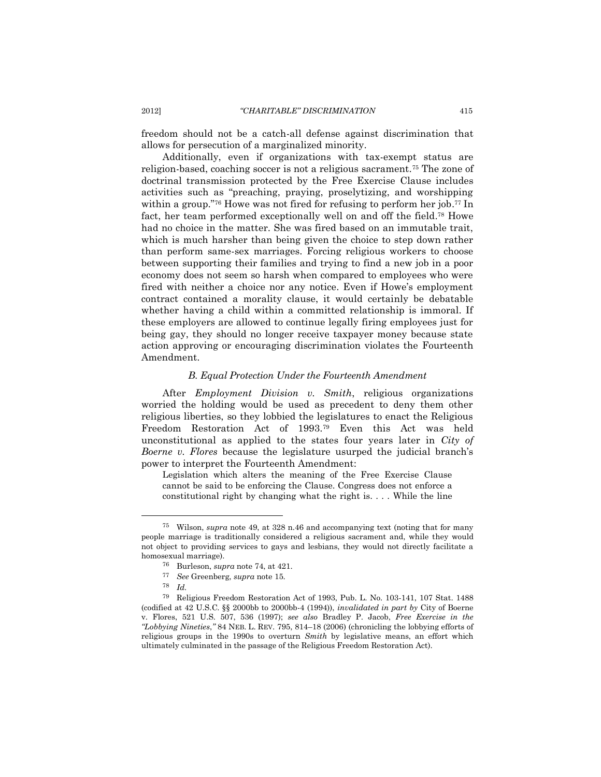freedom should not be a catch-all defense against discrimination that allows for persecution of a marginalized minority.

Additionally, even if organizations with tax-exempt status are religion-based, coaching soccer is not a religious sacrament.<sup>75</sup> The zone of doctrinal transmission protected by the Free Exercise Clause includes activities such as "preaching, praying, proselytizing, and worshipping within a group."<sup>76</sup> Howe was not fired for refusing to perform her job.<sup>77</sup> In fact, her team performed exceptionally well on and off the field.<sup>78</sup> Howe had no choice in the matter. She was fired based on an immutable trait, which is much harsher than being given the choice to step down rather than perform same-sex marriages. Forcing religious workers to choose between supporting their families and trying to find a new job in a poor economy does not seem so harsh when compared to employees who were fired with neither a choice nor any notice. Even if Howe's employment contract contained a morality clause, it would certainly be debatable whether having a child within a committed relationship is immoral. If these employers are allowed to continue legally firing employees just for being gay, they should no longer receive taxpayer money because state action approving or encouraging discrimination violates the Fourteenth Amendment.

### *B. Equal Protection Under the Fourteenth Amendment*

After *Employment Division v. Smith*, religious organizations worried the holding would be used as precedent to deny them other religious liberties, so they lobbied the legislatures to enact the Religious Freedom Restoration Act of 1993.<sup>79</sup> Even this Act was held unconstitutional as applied to the states four years later in *City of Boerne v. Flores* because the legislature usurped the judicial branch's power to interpret the Fourteenth Amendment:

Legislation which alters the meaning of the Free Exercise Clause cannot be said to be enforcing the Clause. Congress does not enforce a constitutional right by changing what the right is. . . . While the line

<sup>75</sup> Wilson, *supra* note [49,](#page-8-1) at 328 n.46 and accompanying text (noting that for many people marriage is traditionally considered a religious sacrament and, while they would not object to providing services to gays and lesbians, they would not directly facilitate a homosexual marriage).

<sup>76</sup> Burleson, *supra* not[e 74,](#page-11-0) at 421.

<sup>77</sup> *See* Greenberg, *supra* not[e 15.](#page-2-1)

<sup>78</sup> *Id.*

<sup>79</sup> Religious Freedom Restoration Act of 1993, Pub. L. No. 103-141, 107 Stat. 1488 (codified at 42 U.S.C. §§ 2000bb to 2000bb-4 (1994)), *invalidated in part by* City of Boerne v. Flores, 521 U.S. 507, 536 (1997); *see also* Bradley P. Jacob, *Free Exercise in the "Lobbying Nineties*,*"* 84 NEB. L. REV. 795, 814–18 (2006) (chronicling the lobbying efforts of religious groups in the 1990s to overturn *Smith* by legislative means, an effort which ultimately culminated in the passage of the Religious Freedom Restoration Act).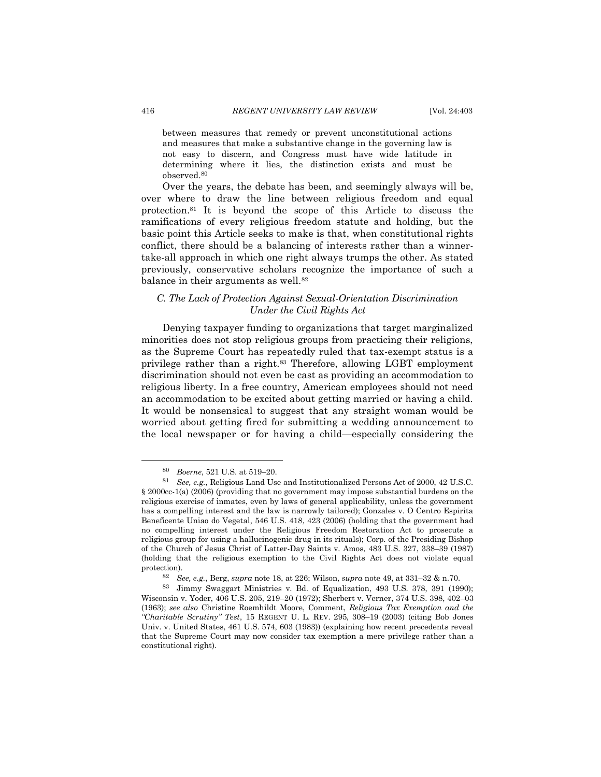between measures that remedy or prevent unconstitutional actions and measures that make a substantive change in the governing law is not easy to discern, and Congress must have wide latitude in determining where it lies, the distinction exists and must be observed.<sup>80</sup>

Over the years, the debate has been, and seemingly always will be, over where to draw the line between religious freedom and equal protection.<sup>81</sup> It is beyond the scope of this Article to discuss the ramifications of every religious freedom statute and holding, but the basic point this Article seeks to make is that, when constitutional rights conflict, there should be a balancing of interests rather than a winnertake-all approach in which one right always trumps the other. As stated previously, conservative scholars recognize the importance of such a balance in their arguments as well.<sup>82</sup>

# *C. The Lack of Protection Against Sexual-Orientation Discrimination Under the Civil Rights Act*

Denying taxpayer funding to organizations that target marginalized minorities does not stop religious groups from practicing their religions, as the Supreme Court has repeatedly ruled that tax-exempt status is a privilege rather than a right.<sup>83</sup> Therefore, allowing LGBT employment discrimination should not even be cast as providing an accommodation to religious liberty. In a free country, American employees should not need an accommodation to be excited about getting married or having a child. It would be nonsensical to suggest that any straight woman would be worried about getting fired for submitting a wedding announcement to the local newspaper or for having a child—especially considering the

<sup>80</sup> *Boerne*, 521 U.S. at 519–20.

<sup>81</sup> *See, e.g.*, Religious Land Use and Institutionalized Persons Act of 2000, 42 U.S.C. § 2000cc-1(a) (2006) (providing that no government may impose substantial burdens on the religious exercise of inmates, even by laws of general applicability, unless the government has a compelling interest and the law is narrowly tailored); Gonzales v. O Centro Espirita Beneficente Uniao do Vegetal, 546 U.S. 418, 423 (2006) (holding that the government had no compelling interest under the Religious Freedom Restoration Act to prosecute a religious group for using a hallucinogenic drug in its rituals); Corp. of the Presiding Bishop of the Church of Jesus Christ of Latter-Day Saints v. Amos, 483 U.S. 327, 338–39 (1987) (holding that the religious exemption to the Civil Rights Act does not violate equal protection).

<sup>82</sup> *See, e.g.*, Berg, *supra* not[e 18,](#page-2-0) at 226; Wilson, *supra* note [49,](#page-8-1) at 331–32 & n.70.

<sup>83</sup> Jimmy Swaggart Ministries v. Bd. of Equalization, 493 U.S. 378, 391 (1990); Wisconsin v. Yoder, 406 U.S. 205, 219–20 (1972); Sherbert v. Verner, 374 U.S. 398, 402–03 (1963); *see also* Christine Roemhildt Moore, Comment, *Religious Tax Exemption and the "Charitable Scrutiny" Test*, 15 REGENT U. L. REV. 295, 308–19 (2003) (citing Bob Jones Univ. v. United States, 461 U.S. 574, 603 (1983)) (explaining how recent precedents reveal that the Supreme Court may now consider tax exemption a mere privilege rather than a constitutional right).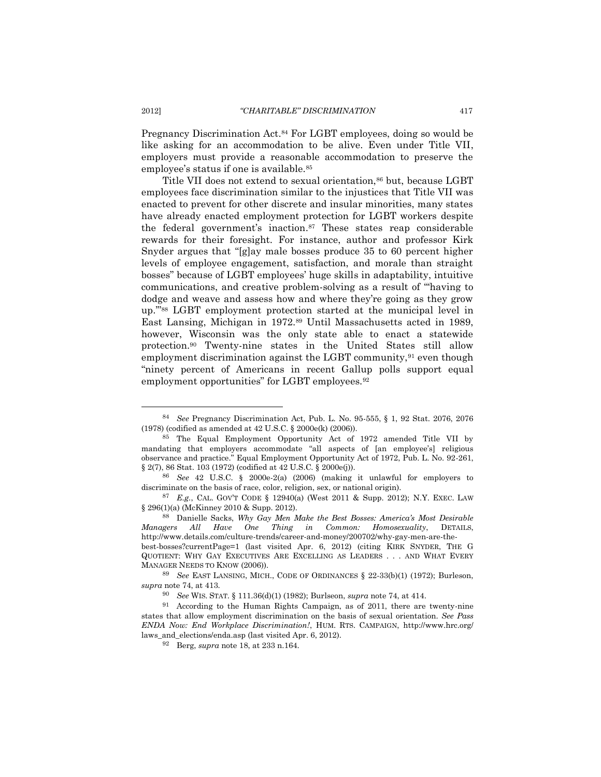Pregnancy Discrimination Act.<sup>84</sup> For LGBT employees, doing so would be like asking for an accommodation to be alive. Even under Title VII, employers must provide a reasonable accommodation to preserve the employee's status if one is available.<sup>85</sup>

Title VII does not extend to sexual orientation,<sup>86</sup> but, because LGBT employees face discrimination similar to the injustices that Title VII was enacted to prevent for other discrete and insular minorities, many states have already enacted employment protection for LGBT workers despite the federal government's inaction. <sup>87</sup> These states reap considerable rewards for their foresight. For instance, author and professor Kirk Snyder argues that "[g]ay male bosses produce 35 to 60 percent higher levels of employee engagement, satisfaction, and morale than straight bosses" because of LGBT employees' huge skills in adaptability, intuitive communications, and creative problem-solving as a result of "'having to dodge and weave and assess how and where they're going as they grow up.'" <sup>88</sup> LGBT employment protection started at the municipal level in East Lansing, Michigan in 1972.<sup>89</sup> Until Massachusetts acted in 1989, however, Wisconsin was the only state able to enact a statewide protection.<sup>90</sup> Twenty-nine states in the United States still allow employment discrimination against the LGBT community,<sup>91</sup> even though "ninety percent of Americans in recent Gallup polls support equal employment opportunities" for LGBT employees.<sup>92</sup>

<span id="page-14-0"></span><sup>84</sup> *See* Pregnancy Discrimination Act, Pub. L. No. 95-555, § 1, 92 Stat. 2076, 2076 (1978) (codified as amended at 42 U.S.C. § 2000e(k) (2006)).

<sup>85</sup> The Equal Employment Opportunity Act of 1972 amended Title VII by mandating that employers accommodate "all aspects of [an employee's] religious observance and practice." Equal Employment Opportunity Act of 1972, Pub. L. No. 92-261, § 2(7), 86 Stat. 103 (1972) (codified at 42 U.S.C. § 2000e(j)).

<sup>86</sup> *See* 42 U.S.C. § 2000e-2(a) (2006) (making it unlawful for employers to discriminate on the basis of race, color, religion, sex, or national origin).

<sup>87</sup> *E.g.*, CAL. GOV'T CODE § 12940(a) (West 2011 & Supp. 2012); N.Y. EXEC. LAW § 296(1)(a) (McKinney 2010 & Supp. 2012).

<sup>88</sup> Danielle Sacks, *Why Gay Men Make the Best Bosses: America's Most Desirable Managers All Have One Thing in Common: Homosexuality*, DETAILS, http://www.details.com/culture-trends/career-and-money/200702/why-gay-men-are-thebest-bosses?currentPage=1 (last visited Apr. 6, 2012) (citing KIRK SNYDER, THE G

QUOTIENT: WHY GAY EXECUTIVES ARE EXCELLING AS LEADERS . . . AND WHAT EVERY MANAGER NEEDS TO KNOW (2006)).

<sup>89</sup> *See* EAST LANSING, MICH., CODE OF ORDINANCES § 22-33(b)(1) (1972); Burleson, *supra* not[e 74,](#page-11-0) at 413.

<sup>90</sup> *See* WIS. STAT. § 111.36(d)(1) (1982); Burlseon, *supra* not[e 74,](#page-11-0) at 414.

<sup>91</sup> According to the Human Rights Campaign, as of 2011, there are twenty-nine states that allow employment discrimination on the basis of sexual orientation. *See Pass ENDA Now: End Workplace Discrimination!*, HUM. RTS. CAMPAIGN, http://www.hrc.org/ laws\_and\_elections/enda.asp (last visited Apr. 6, 2012).

<sup>92</sup> Berg, *supra* not[e 18,](#page-2-0) at 233 n.164.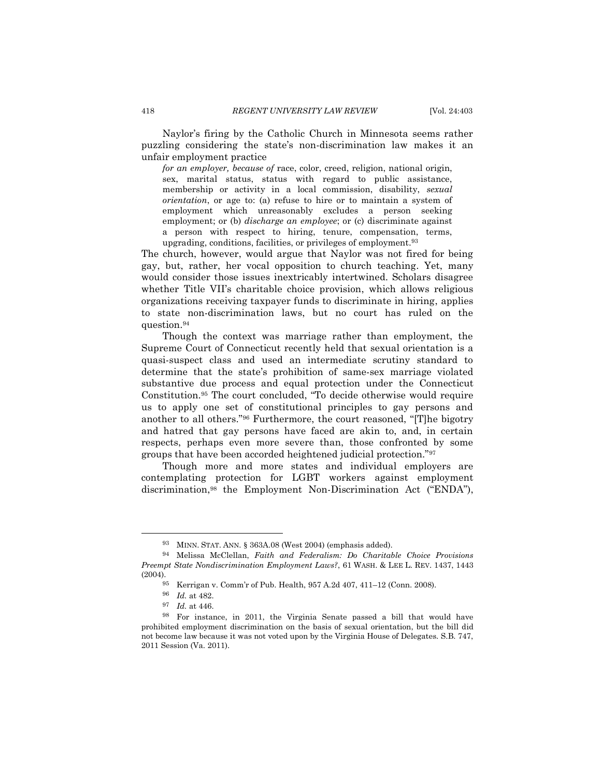Naylor's firing by the Catholic Church in Minnesota seems rather puzzling considering the state's non-discrimination law makes it an unfair employment practice

*for an employer, because of* race, color, creed, religion, national origin, sex, marital status, status with regard to public assistance, membership or activity in a local commission, disability, *sexual orientation*, or age to: (a) refuse to hire or to maintain a system of employment which unreasonably excludes a person seeking employment; or (b) *discharge an employee*; or (c) discriminate against a person with respect to hiring, tenure, compensation, terms, upgrading, conditions, facilities, or privileges of employment.<sup>93</sup>

The church, however, would argue that Naylor was not fired for being gay, but, rather, her vocal opposition to church teaching. Yet, many would consider those issues inextricably intertwined. Scholars disagree whether Title VII's charitable choice provision, which allows religious organizations receiving taxpayer funds to discriminate in hiring, applies to state non-discrimination laws, but no court has ruled on the question.<sup>94</sup>

Though the context was marriage rather than employment, the Supreme Court of Connecticut recently held that sexual orientation is a quasi-suspect class and used an intermediate scrutiny standard to determine that the state's prohibition of same-sex marriage violated substantive due process and equal protection under the Connecticut Constitution.<sup>95</sup> The court concluded, "To decide otherwise would require us to apply one set of constitutional principles to gay persons and another to all others."<sup>96</sup> Furthermore, the court reasoned, "[T]he bigotry and hatred that gay persons have faced are akin to, and, in certain respects, perhaps even more severe than, those confronted by some groups that have been accorded heightened judicial protection."<sup>97</sup>

Though more and more states and individual employers are contemplating protection for LGBT workers against employment discrimination, <sup>98</sup> the Employment Non-Discrimination Act ("ENDA"),

<sup>93</sup> MINN. STAT. ANN. § 363A.08 (West 2004) (emphasis added).

<sup>94</sup> Melissa McClellan, *Faith and Federalism: Do Charitable Choice Provisions Preempt State Nondiscrimination Employment Laws?*, 61 WASH. & LEE L. REV. 1437, 1443 (2004).

<sup>95</sup> Kerrigan v. Comm'r of Pub. Health, 957 A.2d 407, 411–12 (Conn. 2008).

 $\frac{96}{97}$  *Id.* at 482.

*Id.* at 446.

<sup>98</sup> For instance, in 2011, the Virginia Senate passed a bill that would have prohibited employment discrimination on the basis of sexual orientation, but the bill did not become law because it was not voted upon by the Virginia House of Delegates. S.B. 747, 2011 Session (Va. 2011).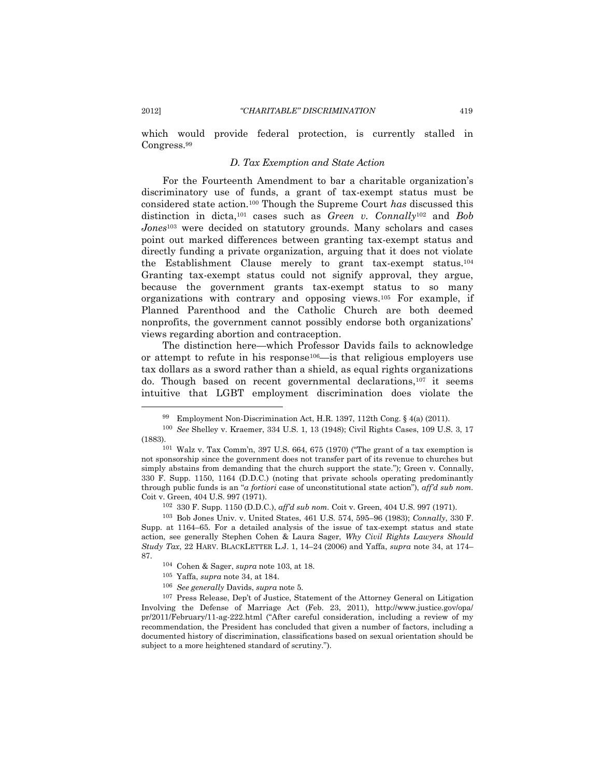which would provide federal protection, is currently stalled in Congress.<sup>99</sup>

### *D. Tax Exemption and State Action*

<span id="page-16-0"></span>For the Fourteenth Amendment to bar a charitable organization's discriminatory use of funds, a grant of tax-exempt status must be considered state action.<sup>100</sup> Though the Supreme Court *has* discussed this distinction in dicta,<sup>101</sup> cases such as *Green v. Connally*<sup>102</sup> and *Bob Jones*<sup>103</sup> were decided on statutory grounds. Many scholars and cases point out marked differences between granting tax-exempt status and directly funding a private organization, arguing that it does not violate the Establishment Clause merely to grant tax-exempt status.<sup>104</sup> Granting tax-exempt status could not signify approval, they argue, because the government grants tax-exempt status to so many organizations with contrary and opposing views.<sup>105</sup> For example, if Planned Parenthood and the Catholic Church are both deemed nonprofits, the government cannot possibly endorse both organizations' views regarding abortion and contraception.

The distinction here—which Professor Davids fails to acknowledge or attempt to refute in his response106—is that religious employers use tax dollars as a sword rather than a shield, as equal rights organizations do. Though based on recent governmental declarations, <sup>107</sup> it seems intuitive that LGBT employment discrimination does violate the

<sup>99</sup> Employment Non-Discrimination Act, H.R. 1397, 112th Cong. § 4(a) (2011).

<sup>100</sup> *See* Shelley v. Kraemer, 334 U.S. 1, 13 (1948); Civil Rights Cases, 109 U.S. 3, 17 (1883).

<sup>101</sup> Walz v. Tax Comm'n, 397 U.S. 664, 675 (1970) ("The grant of a tax exemption is not sponsorship since the government does not transfer part of its revenue to churches but simply abstains from demanding that the church support the state."); Green v. Connally, 330 F. Supp. 1150, 1164 (D.D.C.) (noting that private schools operating predominantly through public funds is an "*a fortiori* case of unconstitutional state action"), *aff'd sub nom.* Coit v. Green, 404 U.S. 997 (1971).

<sup>102</sup> 330 F. Supp. 1150 (D.D.C.), *aff'd sub nom.* Coit v. Green, 404 U.S. 997 (1971).

<sup>103</sup> Bob Jones Univ. v. United States, 461 U.S. 574, 595–96 (1983); *Connally*, 330 F. Supp. at 1164–65. For a detailed analysis of the issue of tax-exempt status and state action, see generally Stephen Cohen & Laura Sager, *Why Civil Rights Lawyers Should Study Tax*, 22 HARV. BLACKLETTER L.J. 1, 14–24 (2006) and Yaffa, *supra* note [34,](#page-5-0) at 174– 87.

<sup>104</sup> Cohen & Sager, *supra* note [103,](#page-16-0) at 18.

<sup>105</sup> Yaffa, *supra* note [34,](#page-5-0) at 184.

<sup>106</sup> *See generally* Davids, *supra* not[e 5.](#page-0-0)

<sup>107</sup> Press Release, Dep't of Justice, Statement of the Attorney General on Litigation Involving the Defense of Marriage Act (Feb. 23, 2011), http://www.justice.gov/opa/ pr/2011/February/11-ag-222.html ("After careful consideration, including a review of my recommendation, the President has concluded that given a number of factors, including a documented history of discrimination, classifications based on sexual orientation should be subject to a more heightened standard of scrutiny.").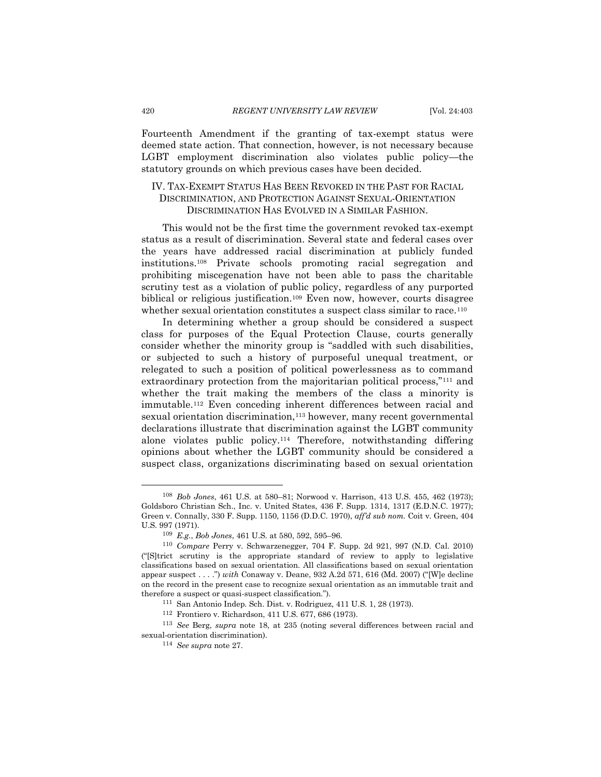Fourteenth Amendment if the granting of tax-exempt status were deemed state action. That connection, however, is not necessary because LGBT employment discrimination also violates public policy—the statutory grounds on which previous cases have been decided.

# IV. TAX-EXEMPT STATUS HAS BEEN REVOKED IN THE PAST FOR RACIAL DISCRIMINATION, AND PROTECTION AGAINST SEXUAL-ORIENTATION DISCRIMINATION HAS EVOLVED IN A SIMILAR FASHION.

This would not be the first time the government revoked tax-exempt status as a result of discrimination. Several state and federal cases over the years have addressed racial discrimination at publicly funded institutions.<sup>108</sup> Private schools promoting racial segregation and prohibiting miscegenation have not been able to pass the charitable scrutiny test as a violation of public policy, regardless of any purported biblical or religious justification. <sup>109</sup> Even now, however, courts disagree whether sexual orientation constitutes a suspect class similar to race.<sup>110</sup>

In determining whether a group should be considered a suspect class for purposes of the Equal Protection Clause, courts generally consider whether the minority group is "saddled with such disabilities, or subjected to such a history of purposeful unequal treatment, or relegated to such a position of political powerlessness as to command extraordinary protection from the majoritarian political process,"<sup>111</sup> and whether the trait making the members of the class a minority is immutable.<sup>112</sup> Even conceding inherent differences between racial and sexual orientation discrimination,<sup>113</sup> however, many recent governmental declarations illustrate that discrimination against the LGBT community alone violates public policy.<sup>114</sup> Therefore, notwithstanding differing opinions about whether the LGBT community should be considered a suspect class, organizations discriminating based on sexual orientation

<sup>108</sup> *Bob Jones*, 461 U.S. at 580–81; Norwood v. Harrison, 413 U.S. 455, 462 (1973); Goldsboro Christian Sch., Inc. v. United States, 436 F. Supp. 1314, 1317 (E.D.N.C. 1977); Green v. Connally, 330 F. Supp. 1150, 1156 (D.D.C. 1970), *aff'd sub nom.* Coit v. Green, 404 U.S. 997 (1971).

<sup>109</sup> *E.g.*, *Bob Jones*, 461 U.S. at 580, 592, 595–96.

<sup>110</sup> *Compare* Perry v. Schwarzenegger, 704 F. Supp. 2d 921, 997 (N.D. Cal. 2010) ("[S]trict scrutiny is the appropriate standard of review to apply to legislative classifications based on sexual orientation. All classifications based on sexual orientation appear suspect . . . .") *with* Conaway v. Deane, 932 A.2d 571, 616 (Md. 2007) ("[W]e decline on the record in the present case to recognize sexual orientation as an immutable trait and therefore a suspect or quasi-suspect classification.").

<sup>111</sup> San Antonio Indep. Sch. Dist. v. Rodriguez, 411 U.S. 1, 28 (1973).

<sup>112</sup> Frontiero v. Richardson, 411 U.S. 677, 686 (1973).

<sup>113</sup> *See* Berg, *supra* note [18,](#page-2-0) at 235 (noting several differences between racial and sexual-orientation discrimination).

<sup>114</sup> *See supra* not[e 27.](#page-4-0)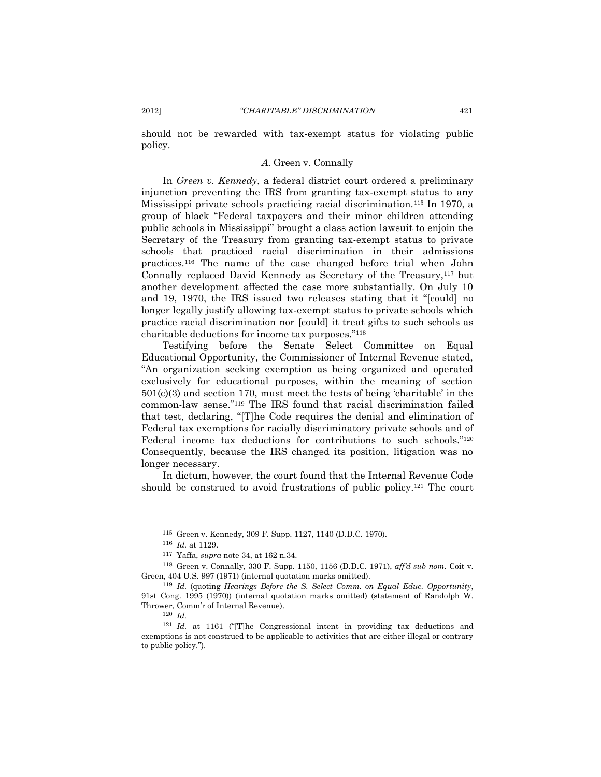should not be rewarded with tax-exempt status for violating public policy.

# *A.* Green v. Connally

In *Green v. Kennedy*, a federal district court ordered a preliminary injunction preventing the IRS from granting tax-exempt status to any Mississippi private schools practicing racial discrimination.<sup>115</sup> In 1970, a group of black "Federal taxpayers and their minor children attending public schools in Mississippi" brought a class action lawsuit to enjoin the Secretary of the Treasury from granting tax-exempt status to private schools that practiced racial discrimination in their admissions practices.<sup>116</sup> The name of the case changed before trial when John Connally replaced David Kennedy as Secretary of the Treasury,<sup>117</sup> but another development affected the case more substantially. On July 10 and 19, 1970, the IRS issued two releases stating that it "[could] no longer legally justify allowing tax-exempt status to private schools which practice racial discrimination nor [could] it treat gifts to such schools as charitable deductions for income tax purposes." 118

Testifying before the Senate Select Committee on Equal Educational Opportunity, the Commissioner of Internal Revenue stated, "An organization seeking exemption as being organized and operated exclusively for educational purposes, within the meaning of section 501(c)(3) and section 170, must meet the tests of being 'charitable' in the common-law sense."<sup>119</sup> The IRS found that racial discrimination failed that test, declaring, "[T]he Code requires the denial and elimination of Federal tax exemptions for racially discriminatory private schools and of Federal income tax deductions for contributions to such schools."<sup>120</sup> Consequently, because the IRS changed its position, litigation was no longer necessary.

In dictum, however, the court found that the Internal Revenue Code should be construed to avoid frustrations of public policy.<sup>121</sup> The court

<sup>115</sup> Green v. Kennedy, 309 F. Supp. 1127, 1140 (D.D.C. 1970).

<sup>116</sup> *Id.* at 1129.

<sup>117</sup> Yaffa, *supra* note [34,](#page-5-0) at 162 n.34.

<sup>118</sup> Green v. Connally, 330 F. Supp. 1150, 1156 (D.D.C. 1971), *aff'd sub nom.* Coit v. Green, 404 U.S. 997 (1971) (internal quotation marks omitted).

<sup>119</sup> *Id.* (quoting *Hearings Before the S. Select Comm. on Equal Educ. Opportunity*, 91st Cong. 1995 (1970)) (internal quotation marks omitted) (statement of Randolph W. Thrower, Comm'r of Internal Revenue).

<sup>120</sup> *Id.*

<sup>121</sup> *Id.* at 1161 ("[T]he Congressional intent in providing tax deductions and exemptions is not construed to be applicable to activities that are either illegal or contrary to public policy.").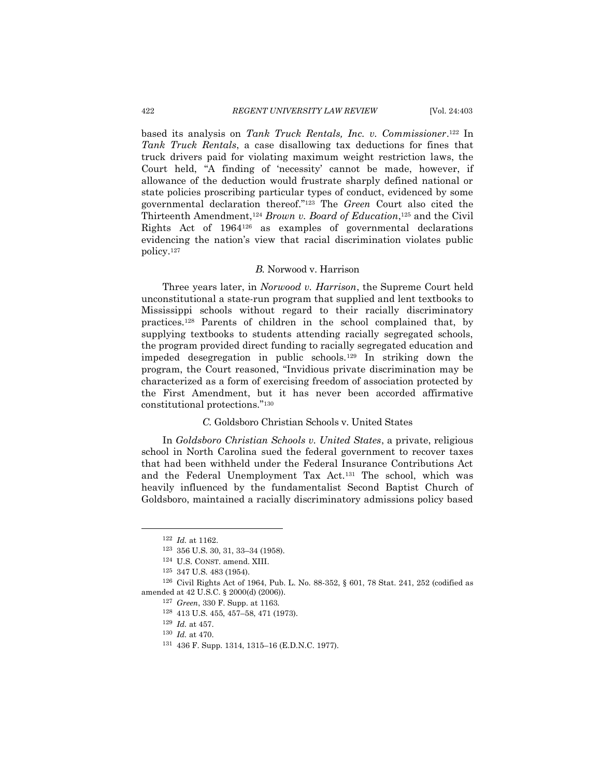based its analysis on *Tank Truck Rentals, Inc. v. Commissioner*. <sup>122</sup> In *Tank Truck Rentals*, a case disallowing tax deductions for fines that truck drivers paid for violating maximum weight restriction laws, the Court held, "A finding of 'necessity' cannot be made, however, if allowance of the deduction would frustrate sharply defined national or state policies proscribing particular types of conduct, evidenced by some governmental declaration thereof."<sup>123</sup> The *Green* Court also cited the Thirteenth Amendment, <sup>124</sup> *Brown v. Board of Education*, <sup>125</sup> and the Civil Rights Act of 1964<sup>126</sup> as examples of governmental declarations evidencing the nation's view that racial discrimination violates public policy.<sup>127</sup>

# *B.* Norwood v. Harrison

Three years later, in *Norwood v. Harrison*, the Supreme Court held unconstitutional a state-run program that supplied and lent textbooks to Mississippi schools without regard to their racially discriminatory practices.<sup>128</sup> Parents of children in the school complained that, by supplying textbooks to students attending racially segregated schools, the program provided direct funding to racially segregated education and impeded desegregation in public schools.<sup>129</sup> In striking down the program, the Court reasoned, "Invidious private discrimination may be characterized as a form of exercising freedom of association protected by the First Amendment, but it has never been accorded affirmative constitutional protections."<sup>130</sup>

### *C.* Goldsboro Christian Schools v. United States

In *Goldsboro Christian Schools v. United States*, a private, religious school in North Carolina sued the federal government to recover taxes that had been withheld under the Federal Insurance Contributions Act and the Federal Unemployment Tax Act.<sup>131</sup> The school, which was heavily influenced by the fundamentalist Second Baptist Church of Goldsboro, maintained a racially discriminatory admissions policy based

<sup>122</sup> *Id.* at 1162.

<sup>123</sup> 356 U.S. 30, 31, 33–34 (1958).

<sup>124</sup> U.S. CONST. amend. XIII.

<sup>125</sup> 347 U.S. 483 (1954).

<sup>126</sup> Civil Rights Act of 1964, Pub. L. No. 88-352, § 601, 78 Stat. 241, 252 (codified as amended at 42 U.S.C. § 2000(d) (2006)).

<sup>127</sup> *Green*, 330 F. Supp. at 1163.

<sup>128</sup> 413 U.S. 455, 457–58, 471 (1973).

<sup>129</sup> *Id.* at 457.

<sup>130</sup> *Id.* at 470.

<sup>131</sup> 436 F. Supp. 1314, 1315–16 (E.D.N.C. 1977).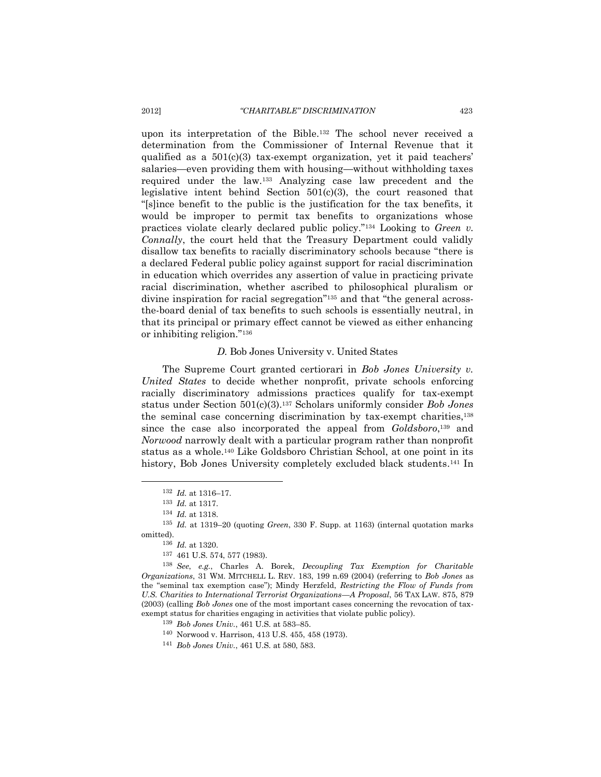upon its interpretation of the Bible.<sup>132</sup> The school never received a determination from the Commissioner of Internal Revenue that it qualified as a  $501(c)(3)$  tax-exempt organization, yet it paid teachers' salaries—even providing them with housing—without withholding taxes required under the law.<sup>133</sup> Analyzing case law precedent and the legislative intent behind Section  $501(c)(3)$ , the court reasoned that "[s]ince benefit to the public is the justification for the tax benefits, it would be improper to permit tax benefits to organizations whose practices violate clearly declared public policy."<sup>134</sup> Looking to *Green v. Connally*, the court held that the Treasury Department could validly disallow tax benefits to racially discriminatory schools because "there is a declared Federal public policy against support for racial discrimination in education which overrides any assertion of value in practicing private racial discrimination, whether ascribed to philosophical pluralism or divine inspiration for racial segregation" <sup>135</sup> and that "the general acrossthe-board denial of tax benefits to such schools is essentially neutral, in that its principal or primary effect cannot be viewed as either enhancing or inhibiting religion."<sup>136</sup>

#### *D.* Bob Jones University v. United States

The Supreme Court granted certiorari in *Bob Jones University v. United States* to decide whether nonprofit, private schools enforcing racially discriminatory admissions practices qualify for tax-exempt status under Section 501(c)(3).<sup>137</sup> Scholars uniformly consider *Bob Jones* the seminal case concerning discrimination by tax-exempt charities,<sup>138</sup> since the case also incorporated the appeal from *Goldsboro*, <sup>139</sup> and *Norwood* narrowly dealt with a particular program rather than nonprofit status as a whole.<sup>140</sup> Like Goldsboro Christian School, at one point in its history, Bob Jones University completely excluded black students. <sup>141</sup> In

<sup>132</sup> *Id.* at 1316–17.

<sup>133</sup> *Id.* at 1317.

<sup>134</sup> *Id.* at 1318.

<sup>135</sup> *Id.* at 1319–20 (quoting *Green*, 330 F. Supp. at 1163) (internal quotation marks omitted).

<sup>136</sup> *Id.* at 1320.

<sup>137</sup> 461 U.S. 574, 577 (1983).

<sup>138</sup> *See*, *e.g.*, Charles A. Borek, *Decoupling Tax Exemption for Charitable Organizations*, 31 WM. MITCHELL L. REV. 183, 199 n.69 (2004) (referring to *Bob Jones* as the "seminal tax exemption case"); Mindy Herzfeld, *Restricting the Flow of Funds from U.S. Charities to International Terrorist Organizations—A Proposal*, 56 TAX LAW. 875, 879 (2003) (calling *Bob Jones* one of the most important cases concerning the revocation of taxexempt status for charities engaging in activities that violate public policy).

<sup>139</sup> *Bob Jones Univ.*, 461 U.S. at 583–85.

<sup>140</sup> Norwood v. Harrison, 413 U.S. 455, 458 (1973).

<sup>141</sup> *Bob Jones Univ.*, 461 U.S. at 580, 583.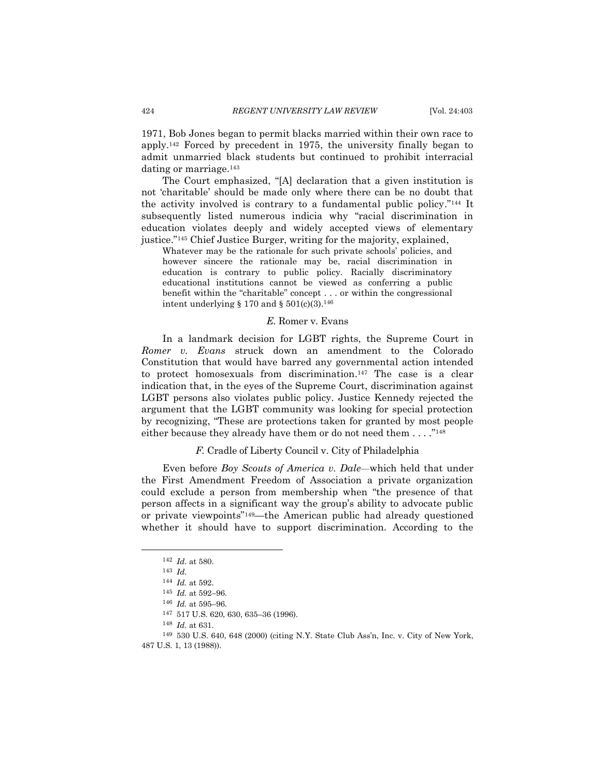1971, Bob Jones began to permit blacks married within their own race to apply.<sup>142</sup> Forced by precedent in 1975, the university finally began to admit unmarried black students but continued to prohibit interracial dating or marriage.<sup>143</sup>

The Court emphasized, "[A] declaration that a given institution is not 'charitable' should be made only where there can be no doubt that the activity involved is contrary to a fundamental public policy." <sup>144</sup> It subsequently listed numerous indicia why "racial discrimination in education violates deeply and widely accepted views of elementary justice."<sup>145</sup> Chief Justice Burger, writing for the majority, explained,

Whatever may be the rationale for such private schools' policies, and however sincere the rationale may be, racial discrimination in education is contrary to public policy. Racially discriminatory educational institutions cannot be viewed as conferring a public benefit within the "charitable" concept . . . or within the congressional intent underlying § 170 and §  $501(c)(3).^{146}$ 

### *E.* Romer v. Evans

In a landmark decision for LGBT rights, the Supreme Court in *Romer v. Evans* struck down an amendment to the Colorado Constitution that would have barred any governmental action intended to protect homosexuals from discrimination. <sup>147</sup> The case is a clear indication that, in the eyes of the Supreme Court, discrimination against LGBT persons also violates public policy. Justice Kennedy rejected the argument that the LGBT community was looking for special protection by recognizing, "These are protections taken for granted by most people either because they already have them or do not need them  $\dots$ ."<sup>148</sup>

### *F.* Cradle of Liberty Council v. City of Philadelphia

Even before *Boy Scouts of America v. Dale*—which held that under the First Amendment Freedom of Association a private organization could exclude a person from membership when "the presence of that person affects in a significant way the group's ability to advocate public or private viewpoints"149—the American public had already questioned whether it should have to support discrimination. According to the

<sup>142</sup> *Id.* at 580.

<sup>143</sup> *Id.*

<sup>144</sup> *Id.* at 592.

<sup>145</sup> *Id.* at 592–96.

<sup>146</sup> *Id.* at 595–96.

<sup>147</sup> 517 U.S. 620, 630, 635–36 (1996).

<sup>148</sup> *Id.* at 631.

<sup>149</sup> 530 U.S. 640, 648 (2000) (citing N.Y. State Club Ass'n, Inc. v. City of New York, 487 U.S. 1, 13 (1988)).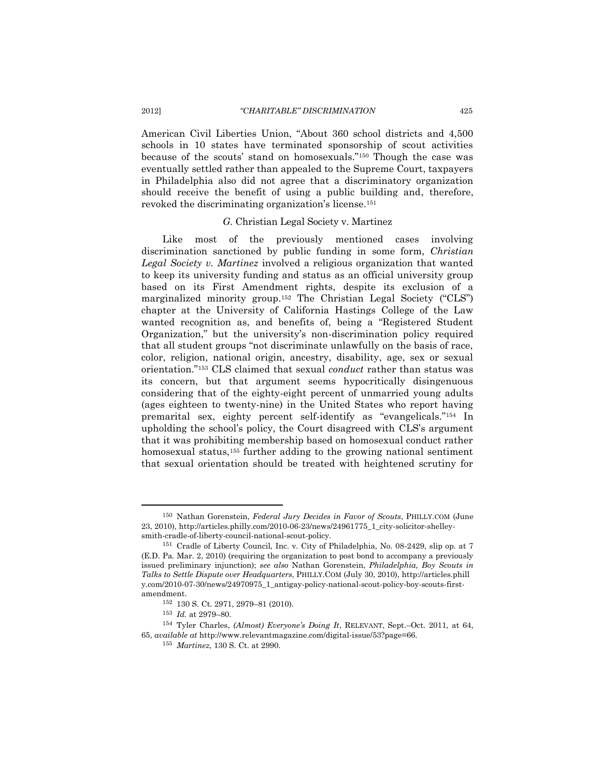American Civil Liberties Union, "About 360 school districts and 4,500 schools in 10 states have terminated sponsorship of scout activities because of the scouts' stand on homosexuals."<sup>150</sup> Though the case was eventually settled rather than appealed to the Supreme Court, taxpayers in Philadelphia also did not agree that a discriminatory organization should receive the benefit of using a public building and, therefore, revoked the discriminating organization's license.<sup>151</sup>

### *G.* Christian Legal Society v. Martinez

Like most of the previously mentioned cases involving discrimination sanctioned by public funding in some form, *Christian Legal Society v. Martinez* involved a religious organization that wanted to keep its university funding and status as an official university group based on its First Amendment rights, despite its exclusion of a marginalized minority group.<sup>152</sup> The Christian Legal Society ("CLS") chapter at the University of California Hastings College of the Law wanted recognition as, and benefits of, being a "Registered Student Organization," but the university's non-discrimination policy required that all student groups "not discriminate unlawfully on the basis of race, color, religion, national origin, ancestry, disability, age, sex or sexual orientation."<sup>153</sup> CLS claimed that sexual *conduct* rather than status was its concern, but that argument seems hypocritically disingenuous considering that of the eighty-eight percent of unmarried young adults (ages eighteen to twenty-nine) in the United States who report having premarital sex, eighty percent self-identify as "evangelicals."<sup>154</sup> In upholding the school's policy, the Court disagreed with CLS's argument that it was prohibiting membership based on homosexual conduct rather homosexual status,<sup>155</sup> further adding to the growing national sentiment that sexual orientation should be treated with heightened scrutiny for

<sup>150</sup> Nathan Gorenstein, *Federal Jury Decides in Favor of Scouts*, PHILLY.COM (June 23, 2010), http://articles.philly.com/2010-06-23/news/24961775\_1\_city-solicitor-shelleysmith-cradle-of-liberty-council-national-scout-policy.

<sup>151</sup> Cradle of Liberty Council, Inc. v. City of Philadelphia, No. 08-2429, slip op. at 7 (E.D. Pa. Mar. 2, 2010) (requiring the organization to post bond to accompany a previously issued preliminary injunction); *see also* Nathan Gorenstein, *Philadelphia, Boy Scouts in Talks to Settle Dispute over Headquarters*, PHILLY.COM (July 30, 2010), http://articles.phill y.com/2010-07-30/news/24970975\_1\_antigay-policy-national-scout-policy-boy-scouts-firstamendment.

<sup>152</sup> 130 S. Ct. 2971, 2979–81 (2010).

<sup>153</sup> *Id.* at 2979–80.

<sup>154</sup> Tyler Charles, *(Almost) Everyone's Doing It*, RELEVANT, Sept.–Oct. 2011, at 64, 65, *available at* http://www.relevantmagazine.com/digital-issue/53?page=66.

<sup>155</sup> *Martinez*, 130 S. Ct. at 2990.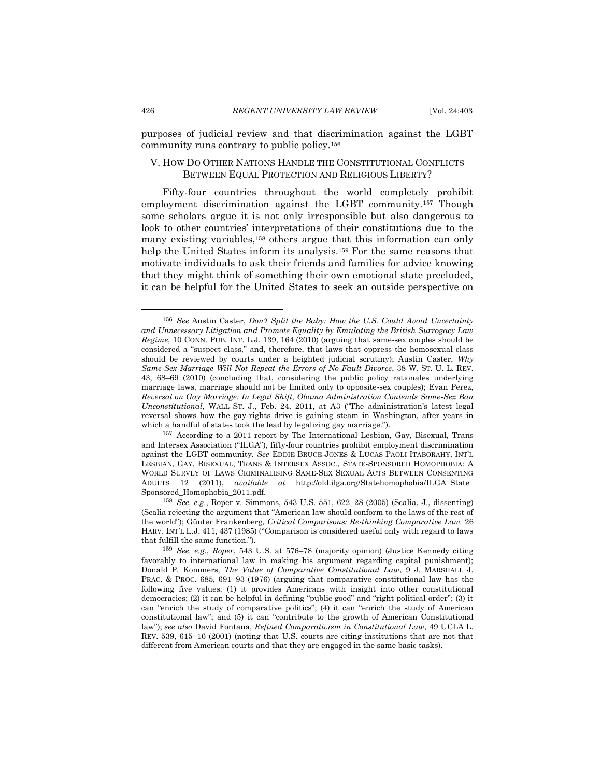purposes of judicial review and that discrimination against the LGBT community runs contrary to public policy.<sup>156</sup>

# V. HOW DO OTHER NATIONS HANDLE THE CONSTITUTIONAL CONFLICTS BETWEEN EQUAL PROTECTION AND RELIGIOUS LIBERTY?

Fifty-four countries throughout the world completely prohibit employment discrimination against the LGBT community.<sup>157</sup> Though some scholars argue it is not only irresponsible but also dangerous to look to other countries' interpretations of their constitutions due to the many existing variables,<sup>158</sup> others argue that this information can only help the United States inform its analysis.<sup>159</sup> For the same reasons that motivate individuals to ask their friends and families for advice knowing that they might think of something their own emotional state precluded, it can be helpful for the United States to seek an outside perspective on

<sup>156</sup> *See* Austin Caster, *Don't Split the Baby: How the U.S. Could Avoid Uncertainty and Unnecessary Litigation and Promote Equality by Emulating the British Surrogacy Law Regime*, 10 CONN. PUB. INT. L.J. 139, 164 (2010) (arguing that same-sex couples should be considered a "suspect class," and, therefore, that laws that oppress the homosexual class should be reviewed by courts under a heighted judicial scrutiny); Austin Caster, *Why Same-Sex Marriage Will Not Repeat the Errors of No-Fault Divorce*, 38 W. ST. U. L. REV. 43, 68–69 (2010) (concluding that, considering the public policy rationales underlying marriage laws, marriage should not be limited only to opposite-sex couples); Evan Perez, *Reversal on Gay Marriage: In Legal Shift, Obama Administration Contends Same-Sex Ban Unconstitutional*, WALL ST. J., Feb. 24, 2011, at A3 ("The administration's latest legal reversal shows how the gay-rights drive is gaining steam in Washington, after years in which a handful of states took the lead by legalizing gay marriage.").

<sup>157</sup> According to a 2011 report by The International Lesbian, Gay, Bisexual, Trans and Intersex Association ("ILGA"), fifty-four countries prohibit employment discrimination against the LGBT community. *See* EDDIE BRUCE-JONES & LUCAS PAOLI ITABORAHY, INT'L LESBIAN, GAY, BISEXUAL, TRANS & INTERSEX ASSOC., STATE-SPONSORED HOMOPHOBIA: A WORLD SURVEY OF LAWS CRIMINALISING SAME-SEX SEXUAL ACTS BETWEEN CONSENTING ADULTS 12 (2011), *available at* http://old.ilga.org/Statehomophobia/ILGA\_State\_ Sponsored\_Homophobia\_2011.pdf.

<sup>158</sup> *See, e.g.*, Roper v. Simmons, 543 U.S. 551, 622–28 (2005) (Scalia, J., dissenting) (Scalia rejecting the argument that "American law should conform to the laws of the rest of the world"); Günter Frankenberg, *Critical Comparisons: Re-thinking Comparative Law,* 26 HARV. INT'L L.J. 411, 437 (1985) ("Comparison is considered useful only with regard to laws that fulfill the same function.").

<sup>159</sup> *See, e.g.*, *Roper*, 543 U.S. at 576–78 (majority opinion) (Justice Kennedy citing favorably to international law in making his argument regarding capital punishment); Donald P. Kommers, *The Value of Comparative Constitutional Law*, 9 J. MARSHALL J. PRAC. & PROC. 685, 691–93 (1976) (arguing that comparative constitutional law has the following five values: (1) it provides Americans with insight into other constitutional democracies; (2) it can be helpful in defining "public good" and "right political order"; (3) it can "enrich the study of comparative politics"; (4) it can "enrich the study of American constitutional law"; and (5) it can "contribute to the growth of American Constitutional law"); *see also* David Fontana, *Refined Comparativism in Constitutional Law*, 49 UCLA L. REV. 539, 615–16 (2001) (noting that U.S. courts are citing institutions that are not that different from American courts and that they are engaged in the same basic tasks).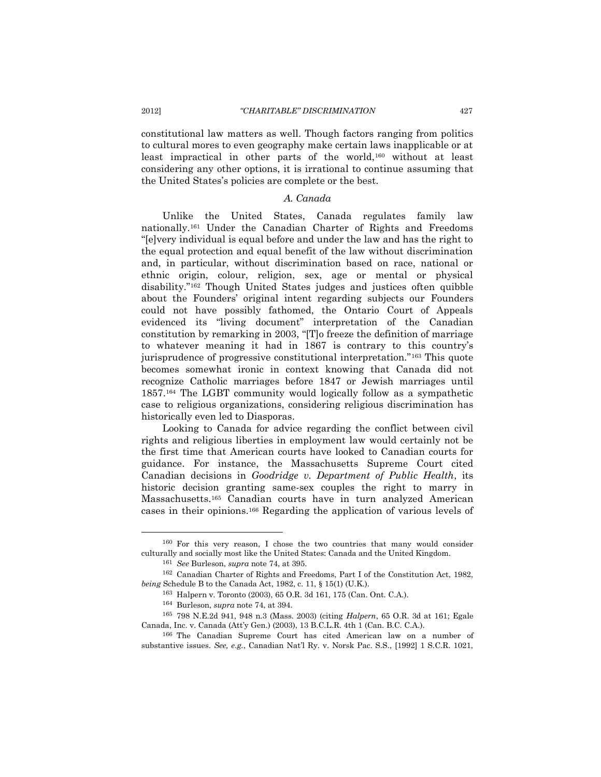constitutional law matters as well. Though factors ranging from politics to cultural mores to even geography make certain laws inapplicable or at least impractical in other parts of the world,<sup>160</sup> without at least considering any other options, it is irrational to continue assuming that the United States's policies are complete or the best.

# *A. Canada*

Unlike the United States, Canada regulates family law nationally.<sup>161</sup> Under the Canadian Charter of Rights and Freedoms "[e]very individual is equal before and under the law and has the right to the equal protection and equal benefit of the law without discrimination and, in particular, without discrimination based on race, national or ethnic origin, colour, religion, sex, age or mental or physical disability."<sup>162</sup> Though United States judges and justices often quibble about the Founders' original intent regarding subjects our Founders could not have possibly fathomed, the Ontario Court of Appeals evidenced its "living document" interpretation of the Canadian constitution by remarking in 2003, "[T]o freeze the definition of marriage to whatever meaning it had in 1867 is contrary to this country's jurisprudence of progressive constitutional interpretation."<sup>163</sup> This quote becomes somewhat ironic in context knowing that Canada did not recognize Catholic marriages before 1847 or Jewish marriages until 1857.<sup>164</sup> The LGBT community would logically follow as a sympathetic case to religious organizations, considering religious discrimination has historically even led to Diasporas.

Looking to Canada for advice regarding the conflict between civil rights and religious liberties in employment law would certainly not be the first time that American courts have looked to Canadian courts for guidance. For instance, the Massachusetts Supreme Court cited Canadian decisions in *Goodridge v. Department of Public Health*, its historic decision granting same-sex couples the right to marry in Massachusetts. <sup>165</sup> Canadian courts have in turn analyzed American cases in their opinions. <sup>166</sup> Regarding the application of various levels of

<sup>160</sup> For this very reason, I chose the two countries that many would consider culturally and socially most like the United States: Canada and the United Kingdom.

<sup>161</sup> *See* Burleson, *supra* note [74,](#page-11-0) at 395.

<sup>162</sup> Canadian Charter of Rights and Freedoms, Part I of the Constitution Act, 1982, *being* Schedule B to the Canada Act, 1982, c. 11, § 15(1) (U.K.).

<sup>163</sup> Halpern v. Toronto (2003), 65 O.R. 3d 161, 175 (Can. Ont. C.A.).

<sup>164</sup> Burleson, *supra* not[e 74,](#page-11-0) at 394.

<sup>165</sup> 798 N.E.2d 941, 948 n.3 (Mass. 2003) (citing *Halpern*, 65 O.R. 3d at 161; Egale Canada, Inc. v. Canada (Att'y Gen.) (2003), 13 B.C.L.R. 4th 1 (Can. B.C. C.A.).

<sup>166</sup> The Canadian Supreme Court has cited American law on a number of substantive issues. *See, e.g.*, Canadian Nat'l Ry. v. Norsk Pac. S.S., [1992] 1 S.C.R. 1021,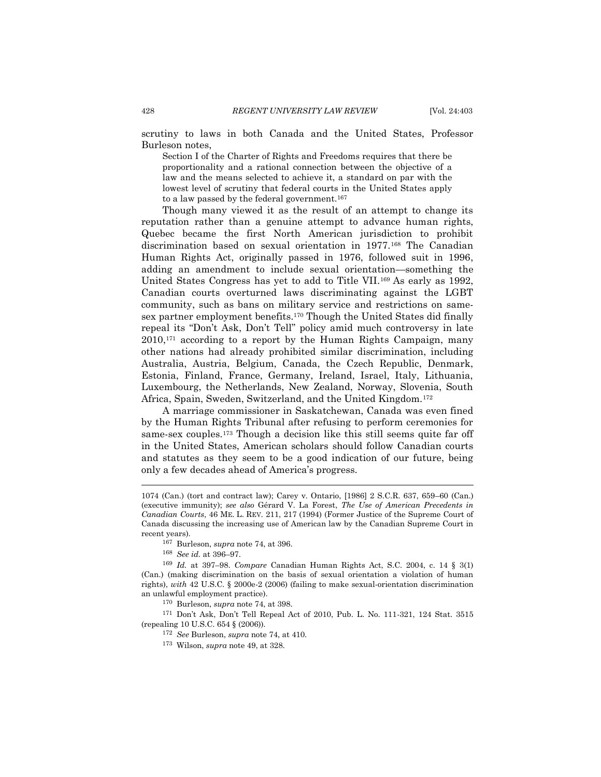scrutiny to laws in both Canada and the United States, Professor Burleson notes,

Section I of the Charter of Rights and Freedoms requires that there be proportionality and a rational connection between the objective of a law and the means selected to achieve it, a standard on par with the lowest level of scrutiny that federal courts in the United States apply to a law passed by the federal government.<sup>167</sup>

Though many viewed it as the result of an attempt to change its reputation rather than a genuine attempt to advance human rights, Quebec became the first North American jurisdiction to prohibit discrimination based on sexual orientation in 1977.<sup>168</sup> The Canadian Human Rights Act, originally passed in 1976, followed suit in 1996, adding an amendment to include sexual orientation—something the United States Congress has yet to add to Title VII.<sup>169</sup> As early as 1992, Canadian courts overturned laws discriminating against the LGBT community, such as bans on military service and restrictions on samesex partner employment benefits.<sup>170</sup> Though the United States did finally repeal its "Don't Ask, Don't Tell" policy amid much controversy in late 2010,<sup>171</sup> according to a report by the Human Rights Campaign, many other nations had already prohibited similar discrimination, including Australia, Austria, Belgium, Canada, the Czech Republic, Denmark, Estonia, Finland, France, Germany, Ireland, Israel, Italy, Lithuania, Luxembourg, the Netherlands, New Zealand, Norway, Slovenia, South Africa, Spain, Sweden, Switzerland, and the United Kingdom.<sup>172</sup>

A marriage commissioner in Saskatchewan, Canada was even fined by the Human Rights Tribunal after refusing to perform ceremonies for same-sex couples.<sup>173</sup> Though a decision like this still seems quite far off in the United States, American scholars should follow Canadian courts and statutes as they seem to be a good indication of our future, being only a few decades ahead of America's progress.

 $\overline{a}$ 

<sup>171</sup> Don't Ask, Don't Tell Repeal Act of 2010, Pub. L. No. 111-321, 124 Stat. 3515 (repealing 10 U.S.C. 654 § (2006)).

- <sup>172</sup> *See* Burleson, *supra* note [74,](#page-11-0) at 410.
- <sup>173</sup> Wilson, *supra* not[e 49,](#page-8-1) at 328.

<sup>1074 (</sup>Can.) (tort and contract law); Carey v. Ontario, [1986] 2 S.C.R. 637, 659–60 (Can.) (executive immunity); *see also* Gérard V. La Forest, *The Use of American Precedents in Canadian Courts*, 46 ME. L. REV. 211, 217 (1994) (Former Justice of the Supreme Court of Canada discussing the increasing use of American law by the Canadian Supreme Court in recent years).

<sup>167</sup> Burleson, *supra* not[e 74,](#page-11-0) at 396.

<sup>168</sup> *See id.* at 396–97.

<sup>169</sup> *Id.* at 397–98. *Compare* Canadian Human Rights Act, S.C. 2004, c. 14 § 3(1) (Can.) (making discrimination on the basis of sexual orientation a violation of human rights), *with* 42 U.S.C. § 2000e-2 (2006) (failing to make sexual-orientation discrimination an unlawful employment practice).

<sup>170</sup> Burleson, *supra* not[e 74,](#page-11-0) at 398.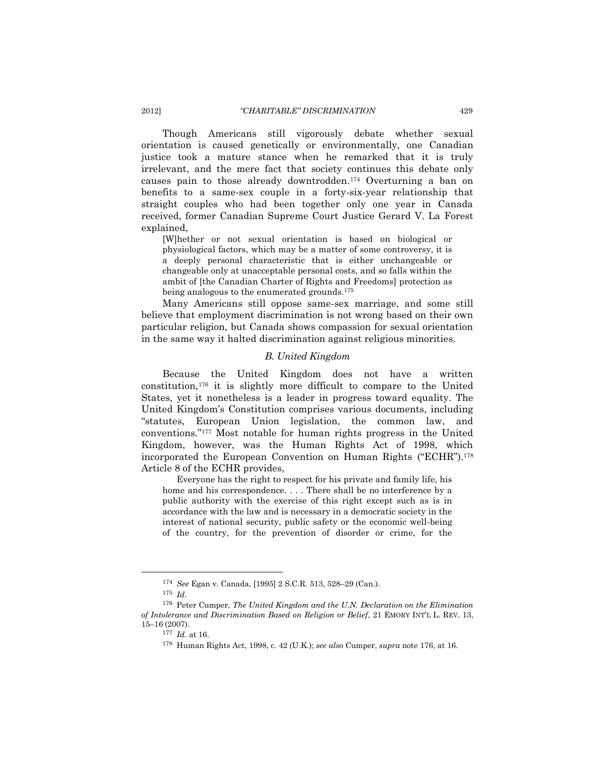Though Americans still vigorously debate whether sexual orientation is caused genetically or environmentally, one Canadian justice took a mature stance when he remarked that it is truly irrelevant, and the mere fact that society continues this debate only causes pain to those already downtrodden.<sup>174</sup> Overturning a ban on benefits to a same-sex couple in a forty-six-year relationship that straight couples who had been together only one year in Canada received, former Canadian Supreme Court Justice Gerard V. La Forest explained,

[W]hether or not sexual orientation is based on biological or physiological factors, which may be a matter of some controversy, it is a deeply personal characteristic that is either unchangeable or changeable only at unacceptable personal costs, and so falls within the ambit of [the Canadian Charter of Rights and Freedoms] protection as being analogous to the enumerated grounds.<sup>175</sup>

Many Americans still oppose same-sex marriage, and some still believe that employment discrimination is not wrong based on their own particular religion, but Canada shows compassion for sexual orientation in the same way it halted discrimination against religious minorities.

### *B. United Kingdom*

<span id="page-26-0"></span>Because the United Kingdom does not have a written constitution,<sup>176</sup> it is slightly more difficult to compare to the United States, yet it nonetheless is a leader in progress toward equality. The United Kingdom's Constitution comprises various documents, including "statutes, European Union legislation, the common law, and conventions."<sup>177</sup> Most notable for human rights progress in the United Kingdom, however, was the Human Rights Act of 1998, which incorporated the European Convention on Human Rights ("ECHR"). 178 Article 8 of the ECHR provides,

Everyone has the right to respect for his private and family life, his home and his correspondence. . . . There shall be no interference by a public authority with the exercise of this right except such as is in accordance with the law and is necessary in a democratic society in the interest of national security, public safety or the economic well-being of the country, for the prevention of disorder or crime, for the

<sup>174</sup> *See* Egan v. Canada, [1995] 2 S.C.R. 513, 528–29 (Can.).

<sup>175</sup> *Id.* 

<sup>176</sup> Peter Cumper, *The United Kingdom and the U.N. Declaration on the Elimination of Intolerance and Discrimination Based on Religion or Belief*, 21 EMORY INT'L L. REV. 13, 15–16 (2007).

<sup>177</sup> *Id.* at 16.

<sup>178</sup> Human Rights Act, 1998, c. 42 (U.K.); *see also* Cumper, *supra* note [176,](#page-26-0) at 16.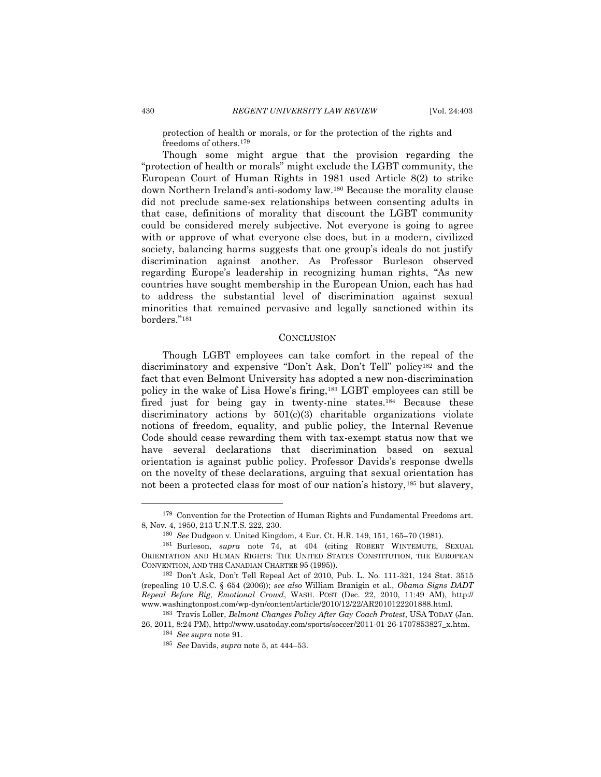protection of health or morals, or for the protection of the rights and freedoms of others.<sup>179</sup>

Though some might argue that the provision regarding the "protection of health or morals" might exclude the LGBT community, the European Court of Human Rights in 1981 used Article 8(2) to strike down Northern Ireland's anti-sodomy law.<sup>180</sup> Because the morality clause did not preclude same-sex relationships between consenting adults in that case, definitions of morality that discount the LGBT community could be considered merely subjective. Not everyone is going to agree with or approve of what everyone else does, but in a modern, civilized society, balancing harms suggests that one group's ideals do not justify discrimination against another. As Professor Burleson observed regarding Europe's leadership in recognizing human rights, "As new countries have sought membership in the European Union, each has had to address the substantial level of discrimination against sexual minorities that remained pervasive and legally sanctioned within its borders."<sup>181</sup>

#### **CONCLUSION**

Though LGBT employees can take comfort in the repeal of the discriminatory and expensive "Don't Ask, Don't Tell" policy<sup>182</sup> and the fact that even Belmont University has adopted a new non-discrimination policy in the wake of Lisa Howe's firing,<sup>183</sup> LGBT employees can still be fired just for being gay in twenty-nine states.<sup>184</sup> Because these discriminatory actions by  $501(c)(3)$  charitable organizations violate notions of freedom, equality, and public policy, the Internal Revenue Code should cease rewarding them with tax-exempt status now that we have several declarations that discrimination based on sexual orientation is against public policy. Professor Davids's response dwells on the novelty of these declarations, arguing that sexual orientation has not been a protected class for most of our nation's history,<sup>185</sup> but slavery,

<sup>179</sup> Convention for the Protection of Human Rights and Fundamental Freedoms art. 8, Nov. 4, 1950, 213 U.N.T.S. 222, 230.

<sup>180</sup> *See* Dudgeon v. United Kingdom, 4 Eur. Ct. H.R. 149, 151, 165–70 (1981).

<sup>181</sup> Burleson, *supra* note [74,](#page-11-0) at 404 (citing ROBERT WINTEMUTE, SEXUAL ORIENTATION AND HUMAN RIGHTS: THE UNITED STATES CONSTITUTION, THE EUROPEAN CONVENTION, AND THE CANADIAN CHARTER 95 (1995)).

<sup>182</sup> Don't Ask, Don't Tell Repeal Act of 2010, Pub. L. No. 111-321, 124 Stat. 3515 (repealing 10 U.S.C. § 654 (2006)); *see also* William Branigin et al., *Obama Signs DADT Repeal Before Big, Emotional Crowd*, WASH. POST (Dec. 22, 2010, 11:49 AM), http:// www.washingtonpost.com/wp-dyn/content/article/2010/12/22/AR2010122201888.html.

<sup>183</sup> Travis Loller, *Belmont Changes Policy After Gay Coach Protest*, USA TODAY (Jan. 26, 2011, 8:24 PM), http://www.usatoday.com/sports/soccer/2011-01-26-1707853827\_x.htm.

<sup>184</sup> *See supra* not[e 91.](#page-14-0)

<sup>185</sup> *See* Davids, *supra* not[e 5,](#page-0-0) at 444–53.